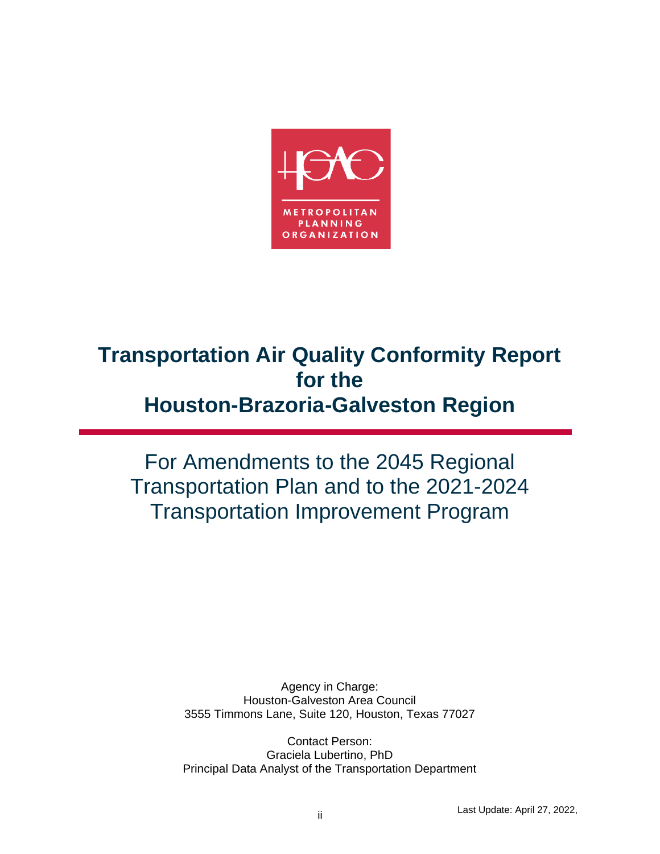

# **Transportation Air Quality Conformity Report for the Houston-Brazoria-Galveston Region**

For Amendments to the 2045 Regional Transportation Plan and to the 2021-2024 Transportation Improvement Program

> Agency in Charge: Houston-Galveston Area Council 3555 Timmons Lane, Suite 120, Houston, Texas 77027

> Contact Person: Graciela Lubertino, PhD Principal Data Analyst of the Transportation Department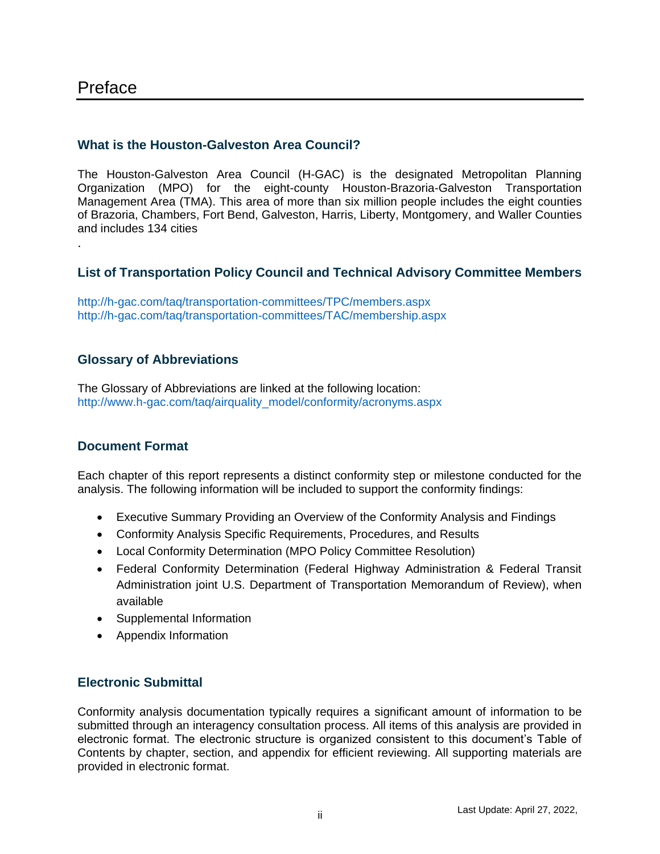# Preface

.

#### **What is the Houston-Galveston Area Council?**

The Houston-Galveston Area Council (H-GAC) is the designated Metropolitan Planning Organization (MPO) for the eight-county Houston-Brazoria-Galveston Transportation Management Area (TMA). This area of more than six million people includes the eight counties of Brazoria, Chambers, Fort Bend, Galveston, Harris, Liberty, Montgomery, and Waller Counties and includes 134 cities

#### **List of Transportation Policy Council and Technical Advisory Committee Members**

<http://h-gac.com/taq/transportation-committees/TPC/members.aspx> <http://h-gac.com/taq/transportation-committees/TAC/membership.aspx>

#### **Glossary of Abbreviations**

The [Glossary of Abbreviations](http://www.h-gac.com/taq/airquality_model/conformity/acronyms.aspx) are linked at the following location: [http://www.h-gac.com/taq/airquality\\_model/conformity/acronyms.aspx](http://www.h-gac.com/taq/airquality_model/conformity/acronyms.aspx)

#### **Document Format**

Each chapter of this report represents a distinct conformity step or milestone conducted for the analysis. The following information will be included to support the conformity findings:

- Executive Summary Providing an Overview of the Conformity Analysis and Findings
- Conformity Analysis Specific Requirements, Procedures, and Results
- Local Conformity Determination (MPO Policy Committee Resolution)
- Federal Conformity Determination (Federal Highway Administration & Federal Transit Administration joint U.S. Department of Transportation Memorandum of Review), when available
- Supplemental Information
- Appendix Information

#### **Electronic Submittal**

Conformity analysis documentation typically requires a significant amount of information to be submitted through an interagency consultation process. All items of this analysis are provided in electronic format. The electronic structure is organized consistent to this document's Table of Contents by chapter, section, and appendix for efficient reviewing. All supporting materials are provided in electronic format.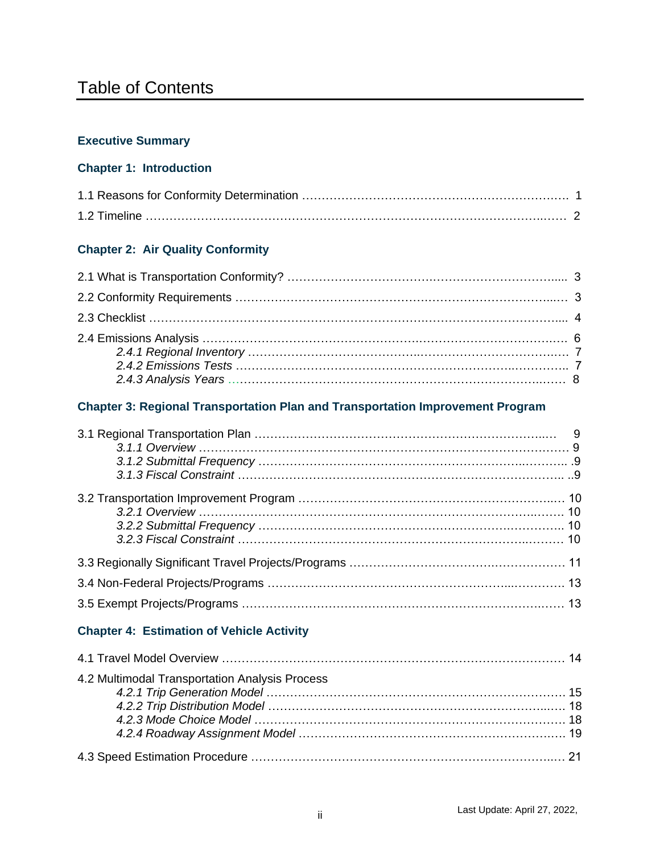# Table of Contents

#### **Executive Summary**

### **Chapter 1: Introduction**

#### **Chapter 2: Air Quality Conformity**

#### **Chapter 3: Regional Transportation Plan and Transportation Improvement Program**

### **Chapter 4: Estimation of Vehicle Activity**

| 4.2 Multimodal Transportation Analysis Process |  |
|------------------------------------------------|--|
|                                                |  |
|                                                |  |
|                                                |  |
|                                                |  |
|                                                |  |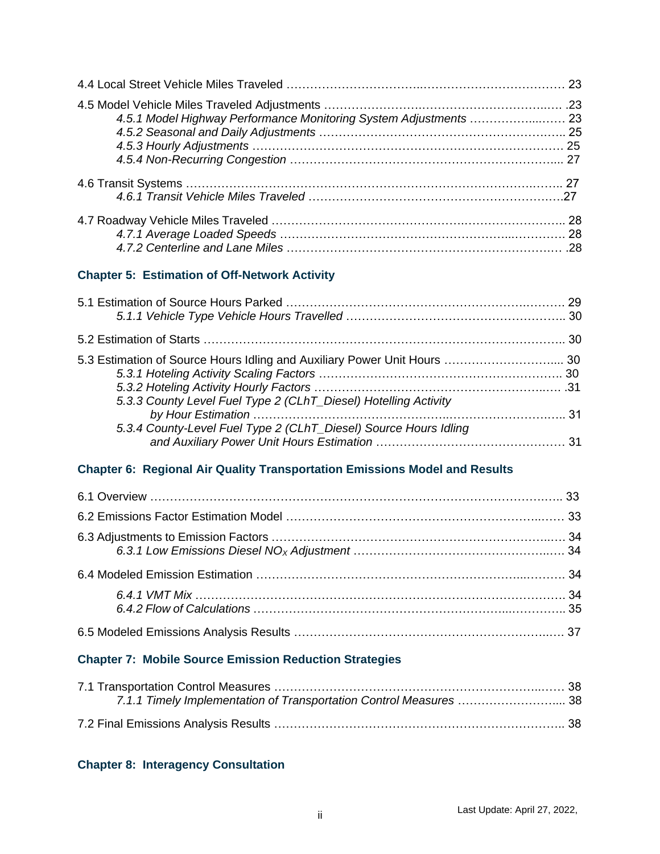| 4.5.1 Model Highway Performance Monitoring System Adjustments  23 |  |
|-------------------------------------------------------------------|--|
|                                                                   |  |
|                                                                   |  |
|                                                                   |  |

#### **Chapter 5: Estimation of Off-Network Activity**

| 5.3 Estimation of Source Hours Idling and Auxiliary Power Unit Hours  30 |
|--------------------------------------------------------------------------|
|                                                                          |
|                                                                          |

#### **Chapter 6: Regional Air Quality Transportation Emissions Model and Results**

#### **Chapter 7: Mobile Source Emission Reduction Strategies**

| 7.1.1 Timely Implementation of Transportation Control Measures 38 |  |
|-------------------------------------------------------------------|--|
|                                                                   |  |

#### **Chapter 8: Interagency Consultation**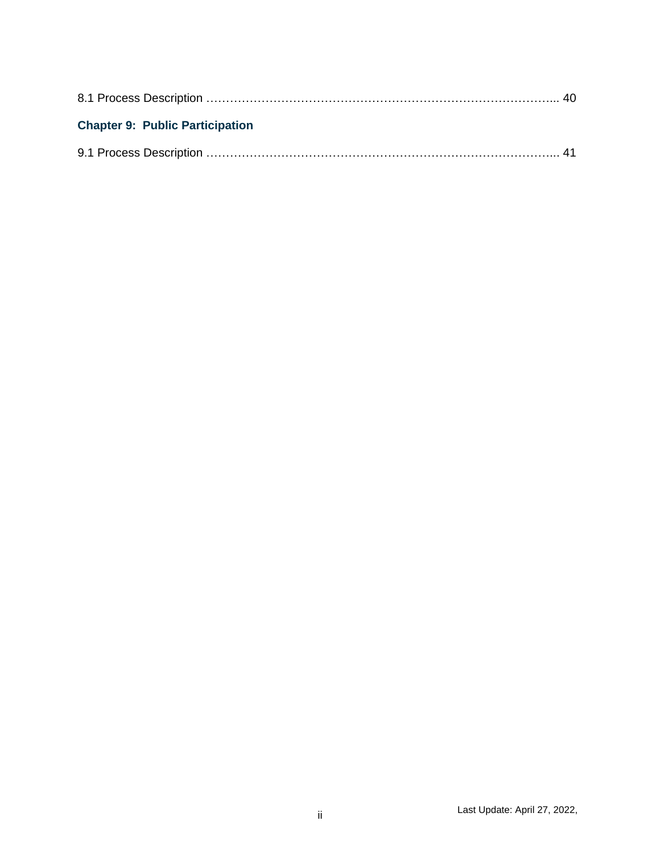| <b>Chapter 9: Public Participation</b> |  |
|----------------------------------------|--|
|                                        |  |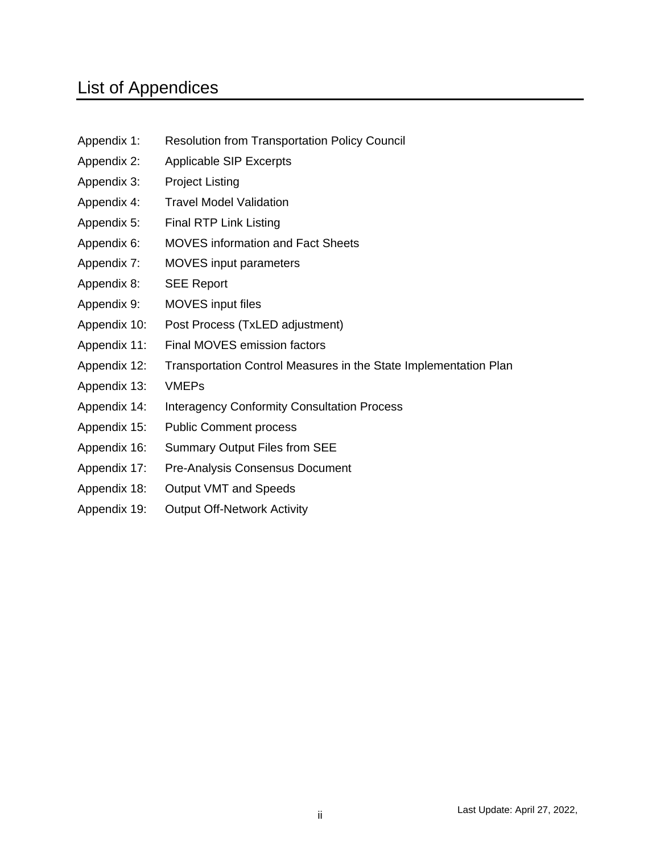# List of Appendices

- Appendix 1: Resolution from Transportation Policy Council
- Appendix 2: Applicable SIP Excerpts
- Appendix 3: Project Listing
- Appendix 4: Travel Model Validation
- Appendix 5: Final RTP Link Listing
- Appendix 6: MOVES information and Fact Sheets
- Appendix 7: MOVES input parameters
- Appendix 8: SEE Report
- Appendix 9: MOVES input files
- Appendix 10: Post Process (TxLED adjustment)
- Appendix 11: Final MOVES emission factors
- Appendix 12: Transportation Control Measures in the State Implementation Plan
- Appendix 13: VMEPs
- Appendix 14: Interagency Conformity Consultation Process
- Appendix 15: Public Comment process
- Appendix 16: Summary Output Files from SEE
- Appendix 17: Pre-Analysis Consensus Document
- Appendix 18: Output VMT and Speeds
- Appendix 19: Output Off-Network Activity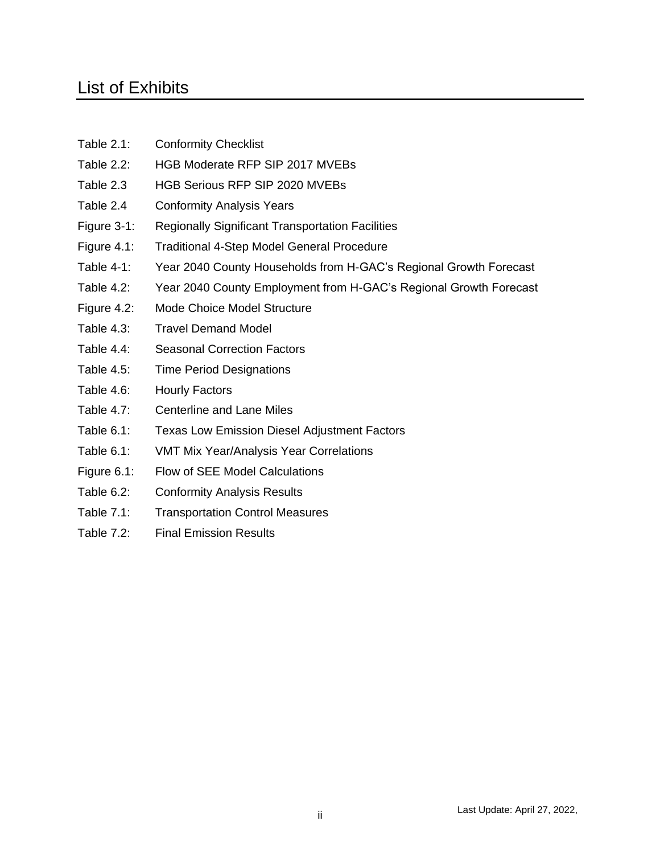# List of Exhibits

- Table 2.1: Conformity Checklist
- Table 2.2: HGB Moderate RFP SIP 2017 MVEBs
- Table 2.3 HGB Serious RFP SIP 2020 MVEBs
- Table 2.4 Conformity Analysis Years
- Figure 3-1: Regionally Significant Transportation Facilities
- Figure 4.1: Traditional 4-Step Model General Procedure
- Table 4-1: Year 2040 County Households from H-GAC's Regional Growth Forecast
- Table 4.2: Year 2040 County Employment from H-GAC's Regional Growth Forecast
- Figure 4.2: Mode Choice Model Structure
- Table 4.3: Travel Demand Model
- Table 4.4: Seasonal Correction Factors
- Table 4.5: Time Period Designations
- Table 4.6: Hourly Factors
- Table 4.7: Centerline and Lane Miles
- Table 6.1: Texas Low Emission Diesel Adjustment Factors
- Table 6.1: VMT Mix Year/Analysis Year Correlations
- Figure 6.1: Flow of SEE Model Calculations
- Table 6.2: Conformity Analysis Results
- Table 7.1: Transportation Control Measures
- Table 7.2: Final Emission Results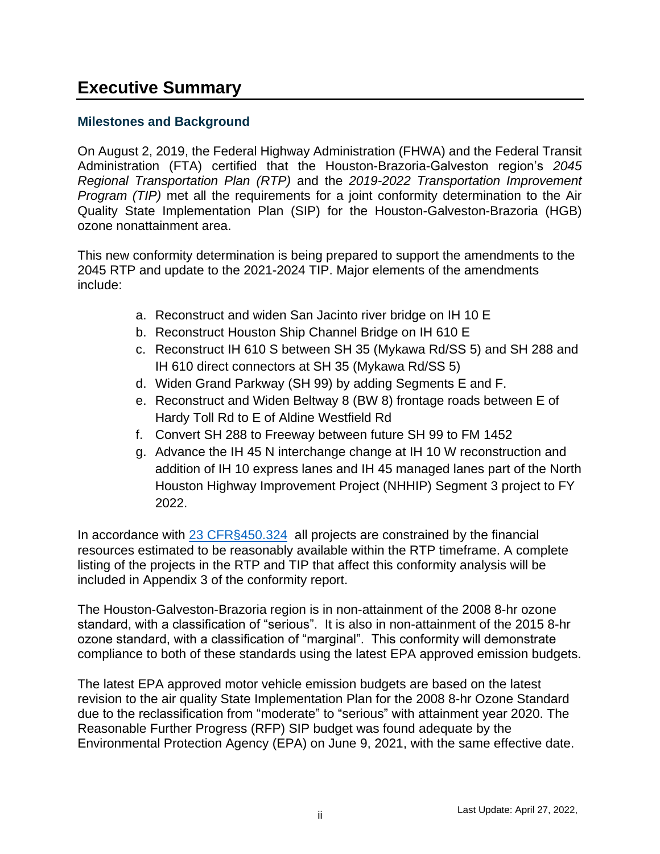# **Executive Summary**

#### **Milestones and Background**

On August 2, 2019, the Federal Highway Administration (FHWA) and the Federal Transit Administration (FTA) certified that the Houston-Brazoria-Galveston region's *2045 Regional Transportation Plan (RTP)* and the *2019-2022 Transportation Improvement Program (TIP)* met all the requirements for a joint conformity determination to the Air Quality State Implementation Plan (SIP) for the Houston-Galveston-Brazoria (HGB) ozone nonattainment area.

This new conformity determination is being prepared to support the amendments to the 2045 RTP and update to the 2021-2024 TIP. Major elements of the amendments include:

- a. Reconstruct and widen San Jacinto river bridge on IH 10 E
- b. Reconstruct Houston Ship Channel Bridge on IH 610 E
- c. Reconstruct IH 610 S between SH 35 (Mykawa Rd/SS 5) and SH 288 and IH 610 direct connectors at SH 35 (Mykawa Rd/SS 5)
- d. Widen Grand Parkway (SH 99) by adding Segments E and F.
- e. Reconstruct and Widen Beltway 8 (BW 8) frontage roads between E of Hardy Toll Rd to E of Aldine Westfield Rd
- f. Convert SH 288 to Freeway between future SH 99 to FM 1452
- g. Advance the IH 45 N interchange change at IH 10 W reconstruction and addition of IH 10 express lanes and IH 45 managed lanes part of the North Houston Highway Improvement Project (NHHIP) Segment 3 project to FY 2022.

In accordance with [23 CFR§450.324](https://www.ecfr.gov/cgi-bin/text-idx?rgn=div5&node=23:1.0.1.5.11#se23.1.450_1324) all projects are constrained by the financial resources estimated to be reasonably available within the RTP timeframe. A complete listing of the projects in the RTP and TIP that affect this conformity analysis will be included in Appendix 3 of the conformity report.

The Houston-Galveston-Brazoria region is in non-attainment of the 2008 8-hr ozone standard, with a classification of "serious". It is also in non-attainment of the 2015 8-hr ozone standard, with a classification of "marginal". This conformity will demonstrate compliance to both of these standards using the latest EPA approved emission budgets.

The latest EPA approved motor vehicle emission budgets are based on the latest revision to the air quality State Implementation Plan for the 2008 8-hr Ozone Standard due to the reclassification from "moderate" to "serious" with attainment year 2020. The Reasonable Further Progress (RFP) SIP budget was found adequate by the Environmental Protection Agency (EPA) on June 9, 2021, with the same effective date.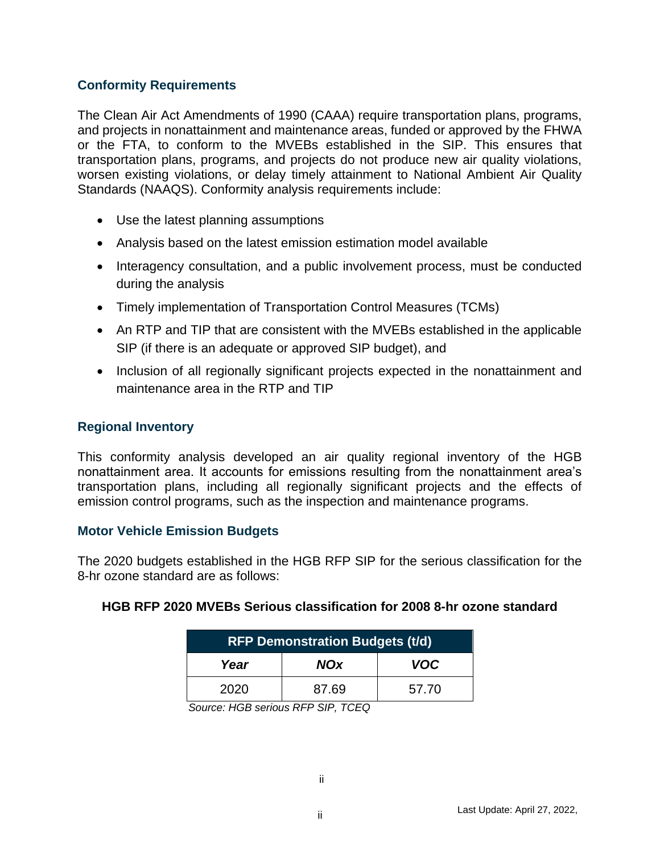#### **Conformity Requirements**

The Clean Air Act Amendments of 1990 (CAAA) require transportation plans, programs, and projects in nonattainment and maintenance areas, funded or approved by the FHWA or the FTA, to conform to the MVEBs established in the SIP. This ensures that transportation plans, programs, and projects do not produce new air quality violations, worsen existing violations, or delay timely attainment to National Ambient Air Quality Standards (NAAQS). Conformity analysis requirements include:

- Use the latest planning assumptions
- Analysis based on the latest emission estimation model available
- Interagency consultation, and a public involvement process, must be conducted during the analysis
- Timely implementation of Transportation Control Measures (TCMs)
- An RTP and TIP that are consistent with the MVEBs established in the applicable SIP (if there is an adequate or approved SIP budget), and
- Inclusion of all regionally significant projects expected in the nonattainment and maintenance area in the RTP and TIP

#### **Regional Inventory**

This conformity analysis developed an air quality regional inventory of the HGB nonattainment area. It accounts for emissions resulting from the nonattainment area's transportation plans, including all regionally significant projects and the effects of emission control programs, such as the inspection and maintenance programs.

#### **Motor Vehicle Emission Budgets**

The 2020 budgets established in the HGB RFP SIP for the serious classification for the 8-hr ozone standard are as follows:

| <b>RFP Demonstration Budgets (t/d)</b> |            |            |  |  |
|----------------------------------------|------------|------------|--|--|
| Year                                   | <b>NOx</b> | <b>VOC</b> |  |  |
| 2020                                   | 87.69      | 57.70      |  |  |

#### **HGB RFP 2020 MVEBs Serious classification for 2008 8-hr ozone standard**

*Source: HGB serious RFP SIP, TCEQ*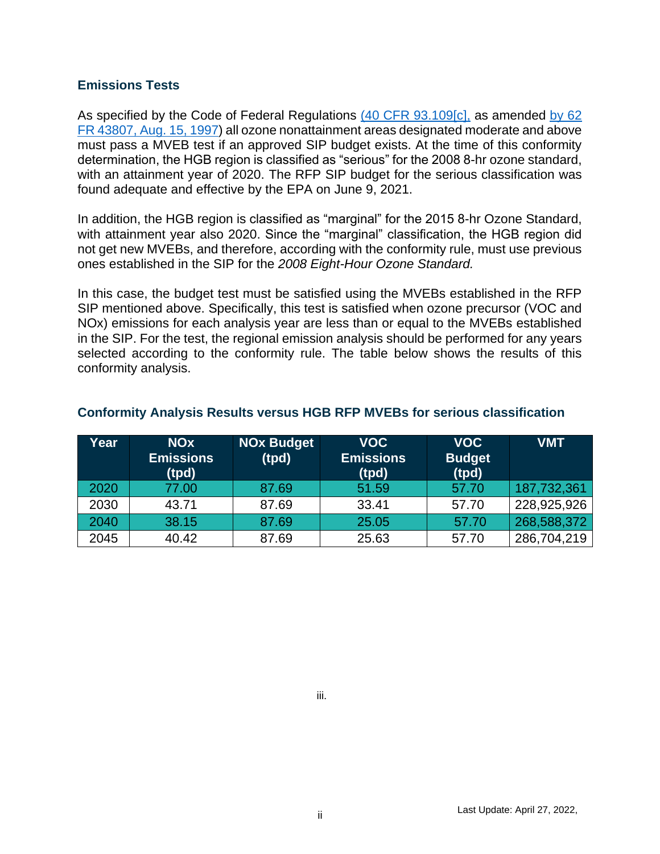#### **Emissions Tests**

As specified by the Code of Federal Regulations [\(40 CFR 93.109\[c\],](https://www.ecfr.gov/cgi-bin/text-idx?SID=55429cfeebaa6807e8ec8a2b85542a98&mc=true&node=se40.20.93_1109&rgn=div8) as amended by 62 [FR 43807, Aug. 15, 1997\)](https://www.govinfo.gov/content/pkg/FR-1997-08-18/pdf/97-21661.pdf) all ozone nonattainment areas designated moderate and above must pass a MVEB test if an approved SIP budget exists. At the time of this conformity determination, the HGB region is classified as "serious" for the 2008 8-hr ozone standard, with an attainment year of 2020. The RFP SIP budget for the serious classification was found adequate and effective by the EPA on June 9, 2021.

In addition, the HGB region is classified as "marginal" for the 2015 8-hr Ozone Standard, with attainment year also 2020. Since the "marginal" classification, the HGB region did not get new MVEBs, and therefore, according with the conformity rule, must use previous ones established in the SIP for the *2008 Eight-Hour Ozone Standard.*

In this case, the budget test must be satisfied using the MVEBs established in the RFP SIP mentioned above. Specifically, this test is satisfied when ozone precursor (VOC and NOx) emissions for each analysis year are less than or equal to the MVEBs established in the SIP. For the test, the regional emission analysis should be performed for any years selected according to the conformity rule. The table below shows the results of this conformity analysis.

| Year | <b>NO<sub>x</sub></b><br><b>Emissions</b><br>(tpd) | <b>NOx Budget</b><br>(tpd) | <b>VOC</b><br><b>Emissions</b><br>(tpd) | <b>VOC</b><br><b>Budget</b><br>(tpd) | <b>VMT</b>  |
|------|----------------------------------------------------|----------------------------|-----------------------------------------|--------------------------------------|-------------|
| 2020 | 77.00                                              | 87.69                      | 51.59                                   | 57.70                                | 187,732,361 |
| 2030 | 43.71                                              | 87.69                      | 33.41                                   | 57.70                                | 228,925,926 |
| 2040 | 38.15                                              | 87.69                      | 25.05                                   | 57.70                                | 268,588,372 |
| 2045 | 40.42                                              | 87.69                      | 25.63                                   | 57.70                                | 286,704,219 |

#### **Conformity Analysis Results versus HGB RFP MVEBs for serious classification**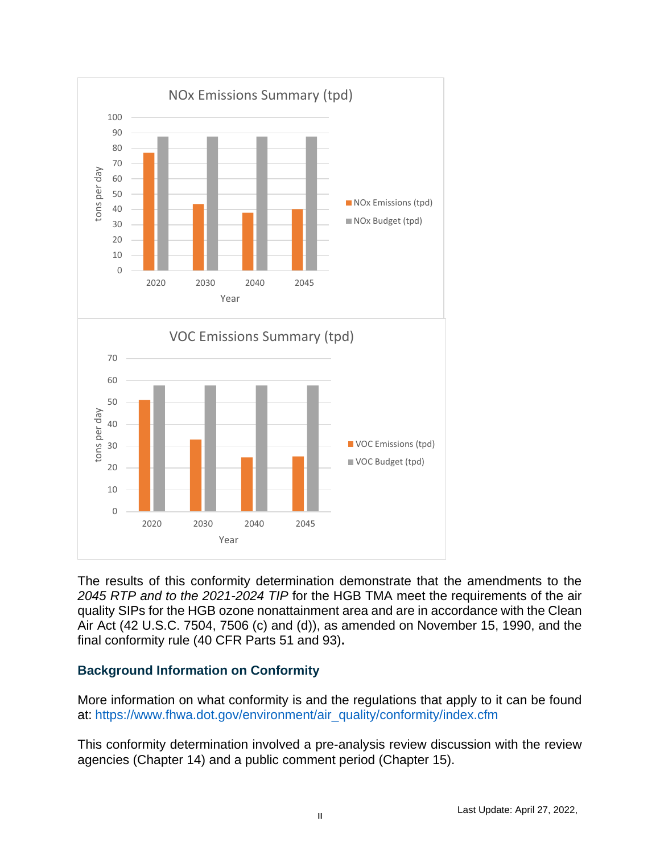

The results of this conformity determination demonstrate that the amendments to the *2045 RTP and to the 2021-2024 TIP* for the HGB TMA meet the requirements of the air quality SIPs for the HGB ozone nonattainment area and are in accordance with the Clean Air Act (42 U.S.C. 7504, 7506 (c) and (d)), as amended on November 15, 1990, and the final conformity rule (40 CFR Parts 51 and 93)**.**

#### **Background Information on Conformity**

More information on what conformity is and the regulations that apply to it can be found at: [https://www.fhwa.dot.gov/environment/air\\_quality/conformity/index.cfm](https://www.fhwa.dot.gov/environment/air_quality/conformity/index.cfm)

This conformity determination involved a pre-analysis review discussion with the review agencies (Chapter 14) and a public comment period (Chapter 15).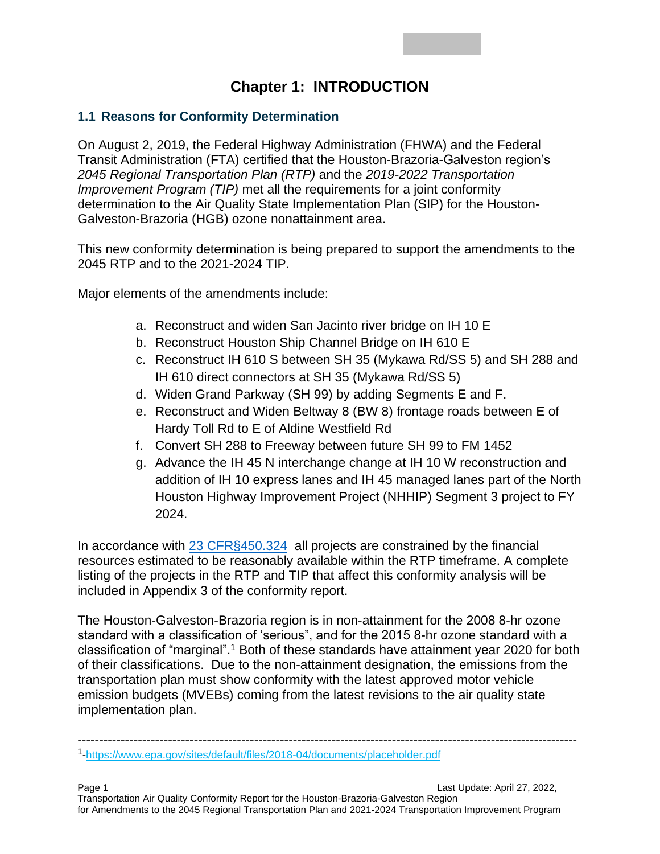# **Chapter 1: INTRODUCTION**

### **1.1 Reasons for Conformity Determination**

On August 2, 2019, the Federal Highway Administration (FHWA) and the Federal Transit Administration (FTA) certified that the Houston-Brazoria-Galveston region's *2045 Regional Transportation Plan (RTP)* and the *2019-2022 Transportation Improvement Program (TIP)* met all the requirements for a joint conformity determination to the Air Quality State Implementation Plan (SIP) for the Houston-Galveston-Brazoria (HGB) ozone nonattainment area.

This new conformity determination is being prepared to support the amendments to the 2045 RTP and to the 2021-2024 TIP.

Major elements of the amendments include:

- a. Reconstruct and widen San Jacinto river bridge on IH 10 E
- b. Reconstruct Houston Ship Channel Bridge on IH 610 E
- c. Reconstruct IH 610 S between SH 35 (Mykawa Rd/SS 5) and SH 288 and IH 610 direct connectors at SH 35 (Mykawa Rd/SS 5)
- d. Widen Grand Parkway (SH 99) by adding Segments E and F.
- e. Reconstruct and Widen Beltway 8 (BW 8) frontage roads between E of Hardy Toll Rd to E of Aldine Westfield Rd
- f. Convert SH 288 to Freeway between future SH 99 to FM 1452
- g. Advance the IH 45 N interchange change at IH 10 W reconstruction and addition of IH 10 express lanes and IH 45 managed lanes part of the North Houston Highway Improvement Project (NHHIP) Segment 3 project to FY 2024.

In accordance with [23 CFR§450.324](https://www.ecfr.gov/cgi-bin/text-idx?rgn=div5&node=23:1.0.1.5.11#se23.1.450_1324) all projects are constrained by the financial resources estimated to be reasonably available within the RTP timeframe. A complete listing of the projects in the RTP and TIP that affect this conformity analysis will be included in Appendix 3 of the conformity report.

The Houston-Galveston-Brazoria region is in non-attainment for the 2008 8-hr ozone standard with a classification of 'serious", and for the 2015 8-hr ozone standard with a classification of "marginal".<sup>1</sup> Both of these standards have attainment year 2020 for both of their classifications. Due to the non-attainment designation, the emissions from the transportation plan must show conformity with the latest approved motor vehicle emission budgets (MVEBs) coming from the latest revisions to the air quality state implementation plan.

--------------------------------------------------------------------------------------------------------------------

<sup>1</sup> [-https://www.epa.gov/sites/default/files/2018-04/documents/placeholder.pdf](https://www.epa.gov/sites/default/files/2018-04/documents/placeholder.pdf)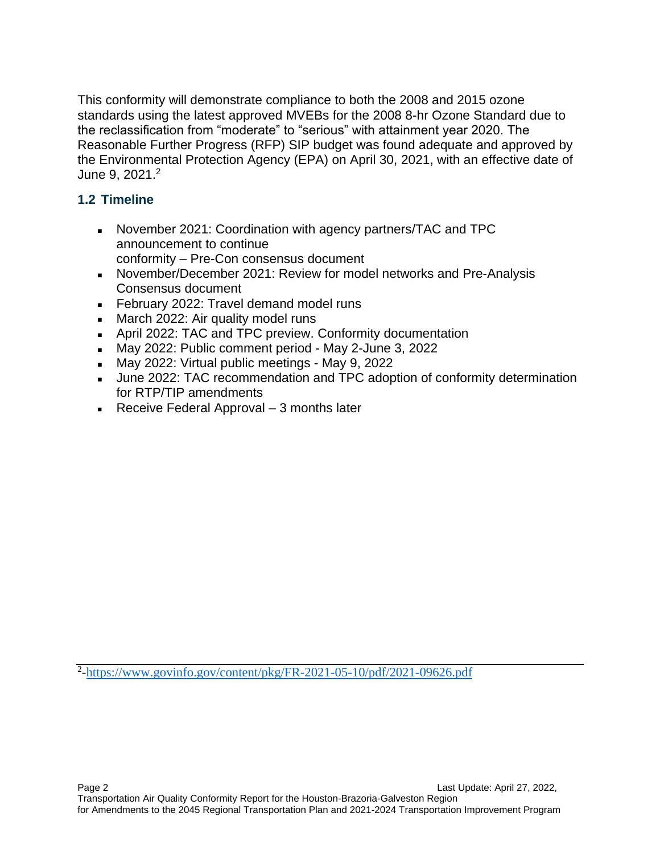This conformity will demonstrate compliance to both the 2008 and 2015 ozone standards using the latest approved MVEBs for the 2008 8-hr Ozone Standard due to the reclassification from "moderate" to "serious" with attainment year 2020. The Reasonable Further Progress (RFP) SIP budget was found adequate and approved by the Environmental Protection Agency (EPA) on April 30, 2021, with an effective date of June 9, 2021.<sup>2</sup>

### **1.2 Timeline**

- **EXEDENT ADDET 2021: Coordination with agency partners/TAC and TPC** announcement to continue conformity – Pre-Con consensus document
- November/December 2021: Review for model networks and Pre-Analysis Consensus document
- February 2022: Travel demand model runs
- **EXED** March 2022: Air quality model runs
- April 2022: TAC and TPC preview. Conformity documentation
- May 2022: Public comment period May 2-June 3, 2022
- May 2022: Virtual public meetings May 9, 2022
- **■** June 2022: TAC recommendation and TPC adoption of conformity determination for RTP/TIP amendments
- $\blacksquare$  Receive Federal Approval 3 months later

<sup>2</sup>[-https://www.govinfo.gov/content/pkg/FR-2021-05-10/pdf/2021-09626.pdf](https://www.govinfo.gov/content/pkg/FR-2021-05-10/pdf/2021-09626.pdf)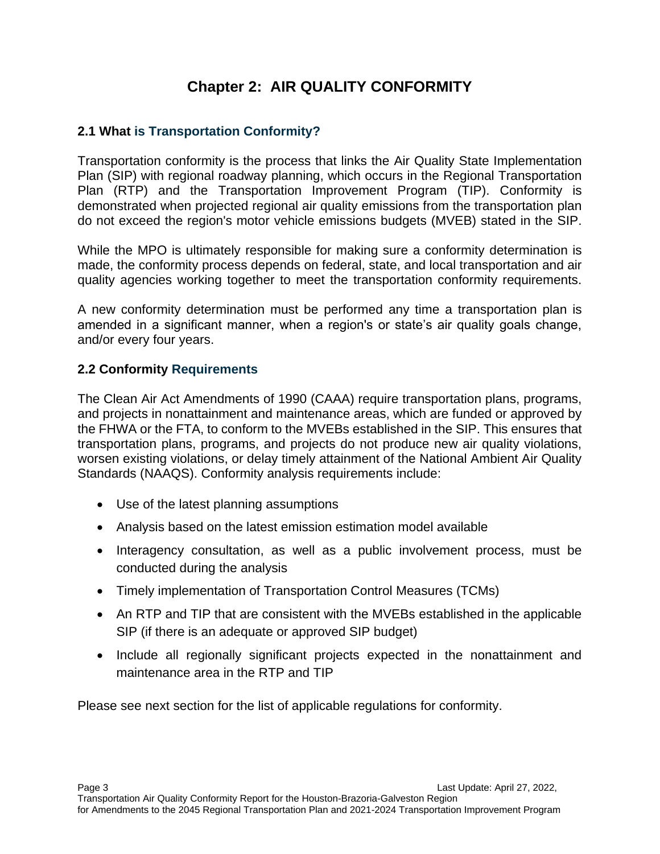# **Chapter 2: AIR QUALITY CONFORMITY**

### **2.1 What is Transportation Conformity?**

Transportation conformity is the process that links the Air Quality State Implementation Plan (SIP) with regional roadway planning, which occurs in the Regional Transportation Plan (RTP) and the Transportation Improvement Program (TIP). Conformity is demonstrated when projected regional air quality emissions from the transportation plan do not exceed the region's motor vehicle emissions budgets (MVEB) stated in the SIP.

While the MPO is ultimately responsible for making sure a conformity determination is made, the conformity process depends on federal, state, and local transportation and air quality agencies working together to meet the transportation conformity requirements.

A new conformity determination must be performed any time a transportation plan is amended in a significant manner, when a region's or state's air quality goals change, and/or every four years.

#### **2.2 Conformity Requirements**

The Clean Air Act Amendments of 1990 (CAAA) require transportation plans, programs, and projects in nonattainment and maintenance areas, which are funded or approved by the FHWA or the FTA, to conform to the MVEBs established in the SIP. This ensures that transportation plans, programs, and projects do not produce new air quality violations, worsen existing violations, or delay timely attainment of the National Ambient Air Quality Standards (NAAQS). Conformity analysis requirements include:

- Use of the latest planning assumptions
- Analysis based on the latest emission estimation model available
- Interagency consultation, as well as a public involvement process, must be conducted during the analysis
- Timely implementation of Transportation Control Measures (TCMs)
- An RTP and TIP that are consistent with the MVEBs established in the applicable SIP (if there is an adequate or approved SIP budget)
- Include all regionally significant projects expected in the nonattainment and maintenance area in the RTP and TIP

Please see next section for the list of applicable regulations for conformity.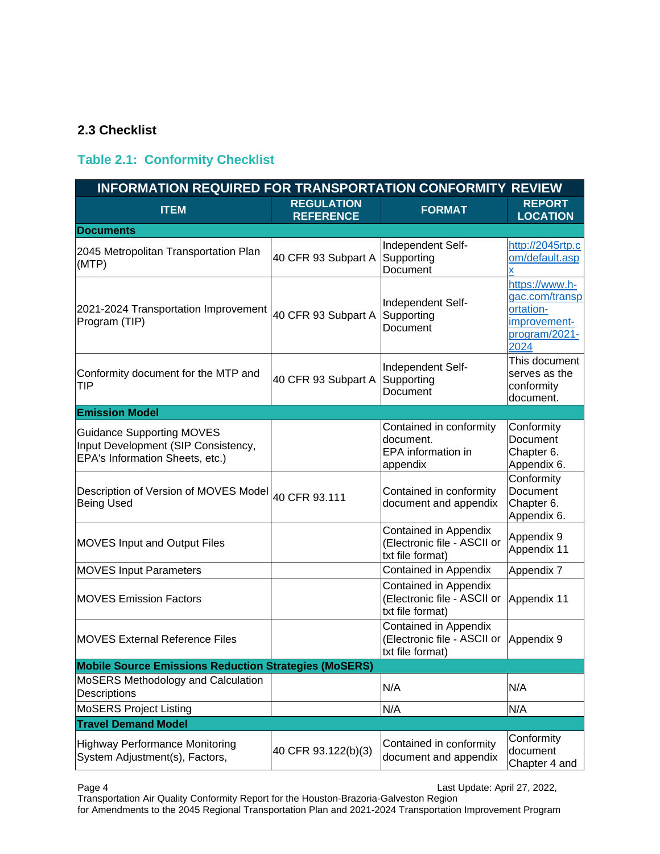#### **2.3 Checklist**

#### **Table 2.1: Conformity Checklist**

| <b>INFORMATION REQUIRED FOR TRANSPORTATION CONFORMITY REVIEW</b>                                           |                                       |                                                                          |                                                                                        |  |
|------------------------------------------------------------------------------------------------------------|---------------------------------------|--------------------------------------------------------------------------|----------------------------------------------------------------------------------------|--|
| <b>ITEM</b>                                                                                                | <b>REGULATION</b><br><b>REFERENCE</b> | <b>FORMAT</b>                                                            | <b>REPORT</b><br><b>LOCATION</b>                                                       |  |
| <b>Documents</b>                                                                                           |                                       |                                                                          |                                                                                        |  |
| 2045 Metropolitan Transportation Plan<br>(MTP)                                                             | 40 CFR 93 Subpart A                   | Independent Self-<br>Supporting<br>Document                              | http://2045rtp.c<br>om/default.asp<br>X                                                |  |
| 2021-2024 Transportation Improvement<br>Program (TIP)                                                      | 40 CFR 93 Subpart A                   | Independent Self-<br>Supporting<br>Document                              | https://www.h-<br>gac.com/transp<br>ortation-<br>improvement-<br>program/2021-<br>2024 |  |
| Conformity document for the MTP and<br><b>TIP</b>                                                          | 40 CFR 93 Subpart A                   | Independent Self-<br>Supporting<br>Document                              | This document<br>serves as the<br>conformity<br>document.                              |  |
| <b>Emission Model</b>                                                                                      |                                       |                                                                          |                                                                                        |  |
| <b>Guidance Supporting MOVES</b><br>Input Development (SIP Consistency,<br>EPA's Information Sheets, etc.) |                                       | Contained in conformity<br>document.<br>EPA information in<br>appendix   | Conformity<br>Document<br>Chapter 6.<br>Appendix 6.                                    |  |
| Description of Version of MOVES Model 40 CFR 93.111<br><b>Being Used</b>                                   |                                       | Contained in conformity<br>document and appendix                         | Conformity<br>Document<br>Chapter 6.<br>Appendix 6.                                    |  |
| <b>MOVES Input and Output Files</b>                                                                        |                                       | Contained in Appendix<br>(Electronic file - ASCII or<br>txt file format) | Appendix 9<br>Appendix 11                                                              |  |
| <b>MOVES Input Parameters</b>                                                                              |                                       | Contained in Appendix                                                    | Appendix 7                                                                             |  |
| <b>MOVES Emission Factors</b>                                                                              |                                       | Contained in Appendix<br>(Electronic file - ASCII or<br>txt file format) | Appendix 11                                                                            |  |
| <b>MOVES External Reference Files</b>                                                                      |                                       | Contained in Appendix<br>(Electronic file - ASCII or<br>txt file format) | Appendix 9                                                                             |  |
| <b>Mobile Source Emissions Reduction Strategies (MoSERS)</b>                                               |                                       |                                                                          |                                                                                        |  |
| MoSERS Methodology and Calculation<br>Descriptions                                                         |                                       | N/A                                                                      | N/A                                                                                    |  |
| <b>MoSERS Project Listing</b>                                                                              |                                       | N/A                                                                      | N/A                                                                                    |  |
| <b>Travel Demand Model</b>                                                                                 |                                       |                                                                          |                                                                                        |  |
| <b>Highway Performance Monitoring</b><br>System Adjustment(s), Factors,                                    | 40 CFR 93.122(b)(3)                   | Contained in conformity<br>document and appendix                         | Conformity<br>document<br>Chapter 4 and                                                |  |

Page 4 Last Update: April 27, 2022,

Transportation Air Quality Conformity Report for the Houston-Brazoria-Galveston Region for Amendments to the 2045 Regional Transportation Plan and 2021-2024 Transportation Improvement Program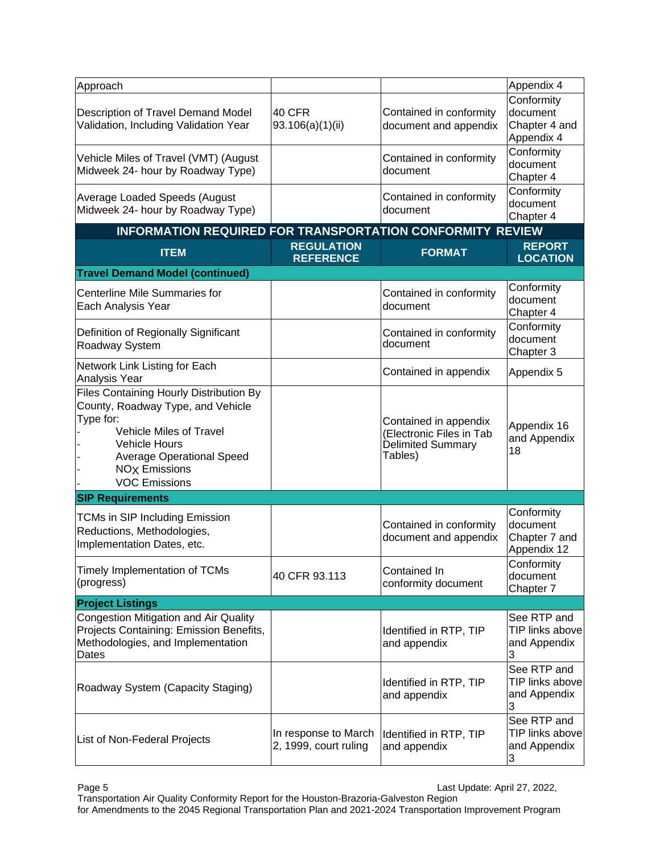| Approach                                                                                                                                                                                                                                           |                                               |                                                                                          | Appendix 4                                             |
|----------------------------------------------------------------------------------------------------------------------------------------------------------------------------------------------------------------------------------------------------|-----------------------------------------------|------------------------------------------------------------------------------------------|--------------------------------------------------------|
| Description of Travel Demand Model<br>Validation, Including Validation Year                                                                                                                                                                        | 40 CFR<br>93.106(a)(1)(ii)                    | Contained in conformity<br>document and appendix                                         | Conformity<br>document<br>Chapter 4 and<br>Appendix 4  |
| Vehicle Miles of Travel (VMT) (August<br>Midweek 24- hour by Roadway Type)                                                                                                                                                                         |                                               | Contained in conformity<br>document                                                      | Conformity<br>document<br>Chapter 4                    |
| Average Loaded Speeds (August<br>Midweek 24- hour by Roadway Type)                                                                                                                                                                                 |                                               | Contained in conformity<br>document                                                      | Conformity<br>document<br>Chapter 4                    |
| INFORMATION REQUIRED FOR TRANSPORTATION CONFORMITY REVIEW                                                                                                                                                                                          |                                               |                                                                                          |                                                        |
| <b>ITEM</b>                                                                                                                                                                                                                                        | <b>REGULATION</b><br><b>REFERENCE</b>         | <b>FORMAT</b>                                                                            | <b>REPORT</b><br><b>LOCATION</b>                       |
| <b>Travel Demand Model (continued)</b>                                                                                                                                                                                                             |                                               |                                                                                          |                                                        |
| <b>Centerline Mile Summaries for</b><br>Each Analysis Year                                                                                                                                                                                         |                                               | Contained in conformity<br>document                                                      | Conformity<br>document<br>Chapter 4                    |
| Definition of Regionally Significant<br>Roadway System                                                                                                                                                                                             |                                               | Contained in conformity<br>document                                                      | Conformity<br>document<br>Chapter 3                    |
| Network Link Listing for Each<br>Analysis Year                                                                                                                                                                                                     |                                               | Contained in appendix                                                                    | Appendix 5                                             |
| Files Containing Hourly Distribution By<br>County, Roadway Type, and Vehicle<br>Type for:<br><b>Vehicle Miles of Travel</b><br><b>Vehicle Hours</b><br><b>Average Operational Speed</b><br><b>NO<sub>X</sub></b> Emissions<br><b>VOC Emissions</b> |                                               | Contained in appendix<br>(Electronic Files in Tab<br><b>Delimited Summary</b><br>Tables) | Appendix 16<br>and Appendix<br>18                      |
| <b>SIP Requirements</b>                                                                                                                                                                                                                            |                                               |                                                                                          |                                                        |
| <b>TCMs in SIP Including Emission</b><br>Reductions, Methodologies,<br>Implementation Dates, etc.                                                                                                                                                  |                                               | Contained in conformity<br>document and appendix                                         | Conformity<br>document<br>Chapter 7 and<br>Appendix 12 |
| Timely Implementation of TCMs<br>(progress)                                                                                                                                                                                                        | 40 CFR 93.113                                 | Contained In<br>conformity document                                                      | Conformity<br>document<br>Chapter 7                    |
| <b>Project Listings</b>                                                                                                                                                                                                                            |                                               |                                                                                          |                                                        |
| <b>Congestion Mitigation and Air Quality</b><br>Projects Containing: Emission Benefits,<br>Methodologies, and Implementation<br>Dates                                                                                                              |                                               | Identified in RTP, TIP<br>and appendix                                                   | See RTP and<br>TIP links above<br>and Appendix<br>3    |
| Roadway System (Capacity Staging)                                                                                                                                                                                                                  |                                               | Identified in RTP, TIP<br>and appendix                                                   | See RTP and<br>TIP links above<br>and Appendix<br>3    |
| List of Non-Federal Projects                                                                                                                                                                                                                       | In response to March<br>2, 1999, court ruling | Identified in RTP, TIP<br>and appendix                                                   | See RTP and<br>TIP links above<br>and Appendix<br>3    |

Page 5 Last Update: April 27, 2022,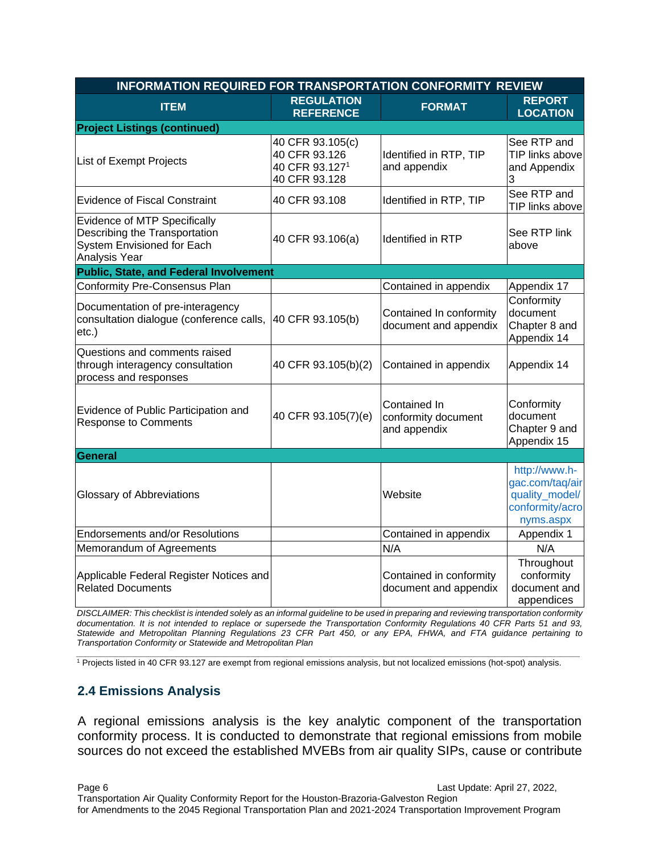| INFORMATION REQUIRED FOR TRANSPORTATION CONFORMITY REVIEW                                                           |                                                                      |                                                     |                                                                                    |  |
|---------------------------------------------------------------------------------------------------------------------|----------------------------------------------------------------------|-----------------------------------------------------|------------------------------------------------------------------------------------|--|
| <b>ITEM</b>                                                                                                         | <b>REGULATION</b><br><b>REFERENCE</b>                                | <b>FORMAT</b>                                       | <b>REPORT</b><br><b>LOCATION</b>                                                   |  |
| <b>Project Listings (continued)</b>                                                                                 |                                                                      |                                                     |                                                                                    |  |
| List of Exempt Projects                                                                                             | 40 CFR 93.105(c)<br>40 CFR 93.126<br>40 CFR 93.1271<br>40 CFR 93.128 | Identified in RTP, TIP<br>and appendix              | See RTP and<br>TIP links above<br>and Appendix<br>3                                |  |
| <b>Evidence of Fiscal Constraint</b>                                                                                | 40 CFR 93.108                                                        | Identified in RTP, TIP                              | See RTP and<br>TIP links above                                                     |  |
| <b>Evidence of MTP Specifically</b><br>Describing the Transportation<br>System Envisioned for Each<br>Analysis Year | 40 CFR 93.106(a)                                                     | Identified in RTP                                   | See RTP link<br>above                                                              |  |
| <b>Public, State, and Federal Involvement</b>                                                                       |                                                                      |                                                     |                                                                                    |  |
| <b>Conformity Pre-Consensus Plan</b>                                                                                |                                                                      | Contained in appendix                               | Appendix 17                                                                        |  |
| Documentation of pre-interagency<br>consultation dialogue (conference calls,<br>$etc.$ )                            | 40 CFR 93.105(b)                                                     | Contained In conformity<br>document and appendix    | Conformity<br>document<br>Chapter 8 and<br>Appendix 14                             |  |
| Questions and comments raised<br>through interagency consultation<br>process and responses                          | 40 CFR 93.105(b)(2)                                                  | Contained in appendix                               | Appendix 14                                                                        |  |
| Evidence of Public Participation and<br><b>Response to Comments</b>                                                 | 40 CFR 93.105(7)(e)                                                  | Contained In<br>conformity document<br>and appendix | Conformity<br>document<br>Chapter 9 and<br>Appendix 15                             |  |
| General                                                                                                             |                                                                      |                                                     |                                                                                    |  |
| <b>Glossary of Abbreviations</b>                                                                                    |                                                                      | Website                                             | http://www.h-<br>gac.com/taq/air<br>quality_model/<br>conformity/acro<br>nyms.aspx |  |
| <b>Endorsements and/or Resolutions</b>                                                                              |                                                                      | Contained in appendix                               | Appendix 1                                                                         |  |
| Memorandum of Agreements                                                                                            |                                                                      | N/A                                                 | N/A                                                                                |  |
| Applicable Federal Register Notices and<br><b>Related Documents</b>                                                 |                                                                      | Contained in conformity<br>document and appendix    | Throughout<br>conformity<br>document and<br>appendices                             |  |

*DISCLAIMER: This checklist is intended solely as an informal guideline to be used in preparing and reviewing transportation conformity documentation. It is not intended to replace or supersede the Transportation Conformity Regulations 40 CFR Parts 51 and 93, Statewide and Metropolitan Planning Regulations 23 CFR Part 450, or any EPA, FHWA, and FTA guidance pertaining to Transportation Conformity or Statewide and Metropolitan Plan*

*\_\_\_\_\_\_\_\_\_\_\_\_\_\_\_\_\_\_\_\_\_\_\_\_\_\_\_\_\_\_\_\_\_\_\_\_\_\_\_\_\_\_\_\_\_\_\_\_\_\_\_\_\_\_\_\_\_\_\_\_\_\_\_\_\_\_\_\_\_\_\_\_\_\_\_\_\_\_\_\_\_\_\_\_\_\_\_\_\_\_\_\_\_\_\_\_\_\_\_\_\_\_\_\_\_* <sup>1</sup> Projects listed in 40 CFR 93.127 are exempt from regional emissions analysis, but not localized emissions (hot-spot) analysis.

#### **2.4 Emissions Analysis**

A regional emissions analysis is the key analytic component of the transportation conformity process. It is conducted to demonstrate that regional emissions from mobile sources do not exceed the established MVEBs from air quality SIPs, cause or contribute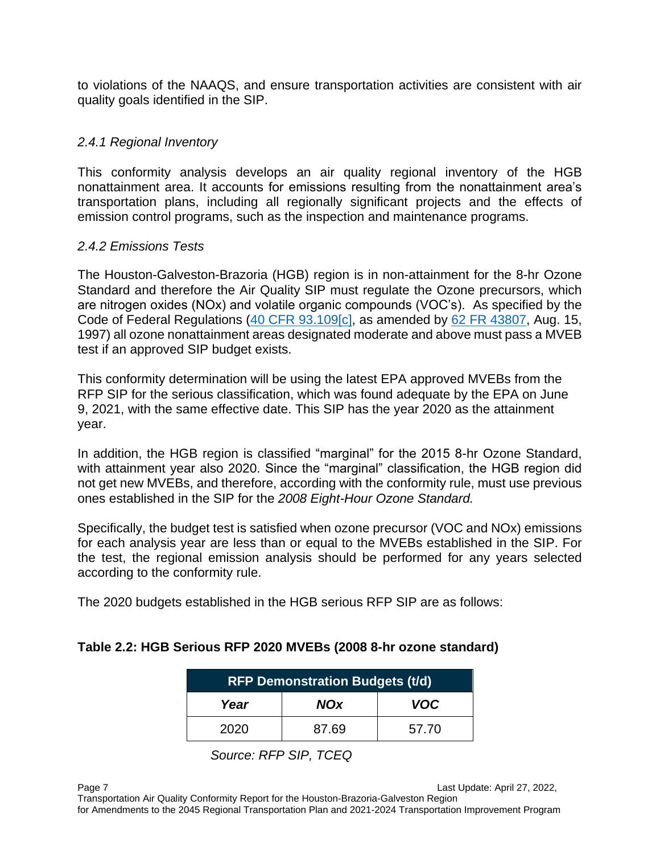to violations of the NAAQS, and ensure transportation activities are consistent with air quality goals identified in the SIP.

#### *2.4.1 Regional Inventory*

This conformity analysis develops an air quality regional inventory of the HGB nonattainment area. It accounts for emissions resulting from the nonattainment area's transportation plans, including all regionally significant projects and the effects of emission control programs, such as the inspection and maintenance programs.

#### *2.4.2 Emissions Tests*

The Houston-Galveston-Brazoria (HGB) region is in non-attainment for the 8-hr Ozone Standard and therefore the Air Quality SIP must regulate the Ozone precursors, which are nitrogen oxides (NOx) and volatile organic compounds (VOC's). As specified by the Code of Federal Regulations [\(40 CFR 93.109\[c\],](https://www.govinfo.gov/content/pkg/CFR-2018-title40-vol22/xml/CFR-2018-title40-vol22-part93.xml#seqnum93.109) as amended by [62 FR 43807,](https://www.govinfo.gov/app/search/%7B%22query%22%3A%2262%20CFR%2043780%22%2C%22offset%22%3A0%7D) Aug. 15, 1997) all ozone nonattainment areas designated moderate and above must pass a MVEB test if an approved SIP budget exists.

This conformity determination will be using the latest EPA approved MVEBs from the RFP SIP for the serious classification, which was found adequate by the EPA on June 9, 2021, with the same effective date. This SIP has the year 2020 as the attainment year.

In addition, the HGB region is classified "marginal" for the 2015 8-hr Ozone Standard, with attainment year also 2020. Since the "marginal" classification, the HGB region did not get new MVEBs, and therefore, according with the conformity rule, must use previous ones established in the SIP for the *2008 Eight-Hour Ozone Standard.*

Specifically, the budget test is satisfied when ozone precursor (VOC and NOx) emissions for each analysis year are less than or equal to the MVEBs established in the SIP. For the test, the regional emission analysis should be performed for any years selected according to the conformity rule.

The 2020 budgets established in the HGB serious RFP SIP are as follows:

#### **Table 2.2: HGB Serious RFP 2020 MVEBs (2008 8-hr ozone standard)**

| <b>RFP Demonstration Budgets (t/d)</b> |            |            |  |
|----------------------------------------|------------|------------|--|
| Year                                   | <b>NOx</b> | <b>VOC</b> |  |
| 2020                                   | 87.69      | 57.70      |  |

*Source: RFP SIP, TCEQ*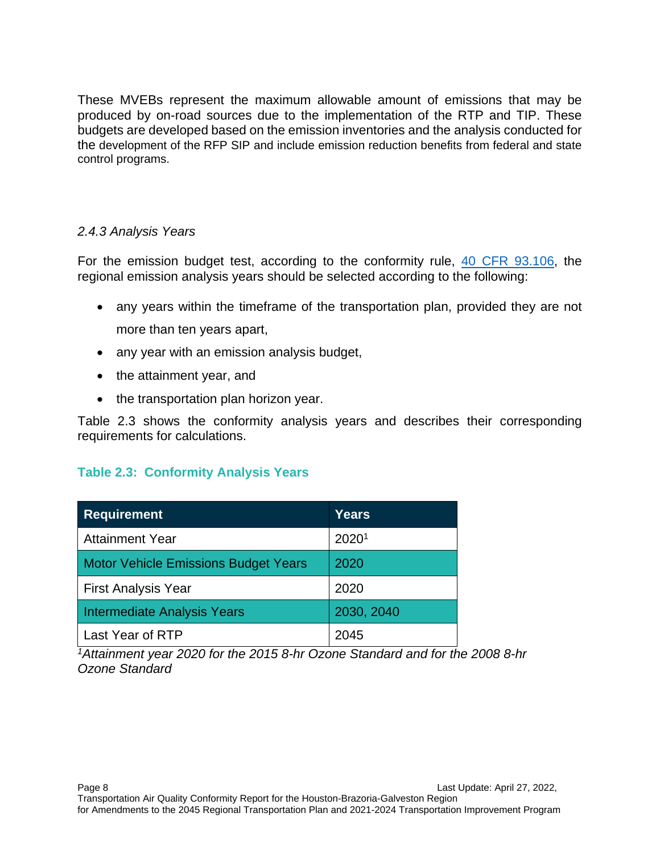These MVEBs represent the maximum allowable amount of emissions that may be produced by on-road sources due to the implementation of the RTP and TIP. These budgets are developed based on the emission inventories and the analysis conducted for the development of the RFP SIP and include emission reduction benefits from federal and state control programs.

#### *2.4.3 Analysis Years*

For the emission budget test, according to the conformity rule, [40 CFR 93.106,](https://www.govinfo.gov/app/details/CFR-1999-title40-vol14/CFR-1999-title40-vol14-sec93-106) the regional emission analysis years should be selected according to the following:

- any years within the timeframe of the transportation plan, provided they are not more than ten years apart,
- any year with an emission analysis budget,
- the attainment year, and
- the transportation plan horizon year.

Table 2.3 shows the conformity analysis years and describes their corresponding requirements for calculations.

#### **Table 2.3: Conformity Analysis Years**

| <b>Requirement</b>                          | <b>Years</b> |
|---------------------------------------------|--------------|
| <b>Attainment Year</b>                      | 20201        |
| <b>Motor Vehicle Emissions Budget Years</b> | 2020         |
| <b>First Analysis Year</b>                  | 2020         |
| <b>Intermediate Analysis Years</b>          | 2030, 2040   |
| Last Year of RTP                            | 2045         |

*<sup>1</sup>Attainment year 2020 for the 2015 8-hr Ozone Standard and for the 2008 8-hr Ozone Standard*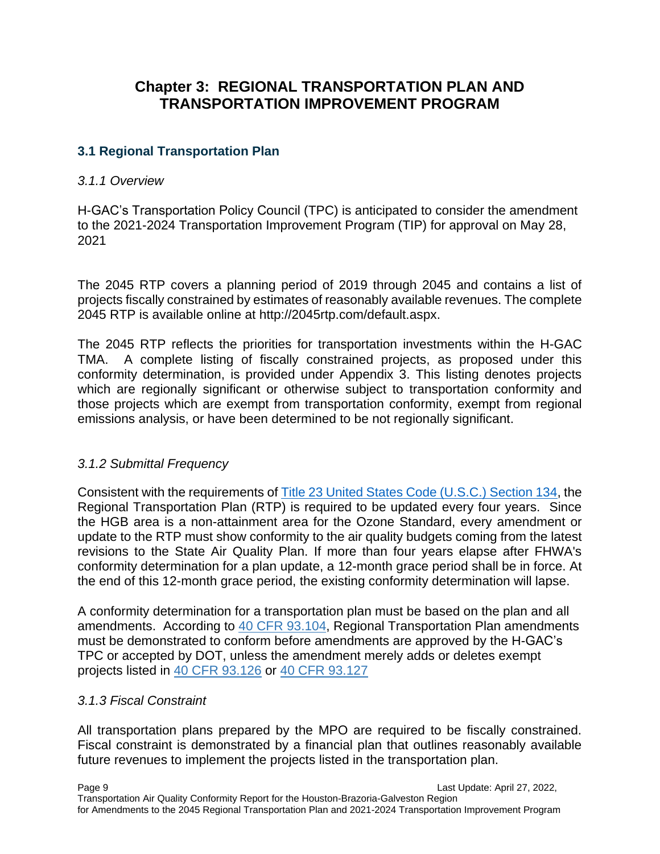# **Chapter 3: REGIONAL TRANSPORTATION PLAN AND TRANSPORTATION IMPROVEMENT PROGRAM**

### **3.1 Regional Transportation Plan**

#### *3.1.1 Overview*

H-GAC's Transportation Policy Council (TPC) is anticipated to consider the amendment to the 2021-2024 Transportation Improvement Program (TIP) for approval on May 28, 2021

The 2045 RTP covers a planning period of 2019 through 2045 and contains a list of projects fiscally constrained by estimates of reasonably available revenues. The complete 2045 RTP is available online at http://2045rtp.com/default.aspx.

The 2045 RTP reflects the priorities for transportation investments within the H-GAC TMA. A complete listing of fiscally constrained projects, as proposed under this conformity determination, is provided under Appendix 3. This listing denotes projects which are regionally significant or otherwise subject to transportation conformity and those projects which are exempt from transportation conformity, exempt from regional emissions analysis, or have been determined to be not regionally significant.

#### *3.1.2 Submittal Frequency*

Consistent with the requirements of [Title 23 United States Code \(U.S.C.\) Section 134,](https://www.ecfr.gov/cgi-bin/text-idx?SID=d3ab88163bfb0f7dd5b1484c8d55658a&mc=true&node=sp23.1.450.c&rgn=div6#se23.1.450_1324) the Regional Transportation Plan (RTP) is required to be updated every four years. Since the HGB area is a non-attainment area for the Ozone Standard, every amendment or update to the RTP must show conformity to the air quality budgets coming from the latest revisions to the State Air Quality Plan. If more than four years elapse after FHWA's conformity determination for a plan update, a 12-month grace period shall be in force. At the end of this 12-month grace period, the existing conformity determination will lapse.

A conformity determination for a transportation plan must be based on the plan and all amendments. According to [40 CFR 93.104,](https://www.ecfr.gov/cgi-bin/text-idx?SID=73059b2feaddab607b80cd0611a52aca&mc=true&node=pt40.22.93&rgn=div5#se40.22.93_1104) Regional Transportation Plan amendments must be demonstrated to conform before amendments are approved by the H-GAC's TPC or accepted by DOT, unless the amendment merely adds or deletes exempt projects listed in [40 CFR 93.126](https://www.ecfr.gov/cgi-bin/text-idx?SID=9ca479c3c02f9f49afd131920781cf2f&mc=true&node=se40.22.93_1126&rgn=div8) or [40 CFR 93.127](https://www.ecfr.gov/cgi-bin/text-idx?SID=9ca479c3c02f9f49afd131920781cf2f&mc=true&node=se40.22.93_1127&rgn=div8)

#### *3.1.3 Fiscal Constraint*

All transportation plans prepared by the MPO are required to be fiscally constrained. Fiscal constraint is demonstrated by a financial plan that outlines reasonably available future revenues to implement the projects listed in the transportation plan.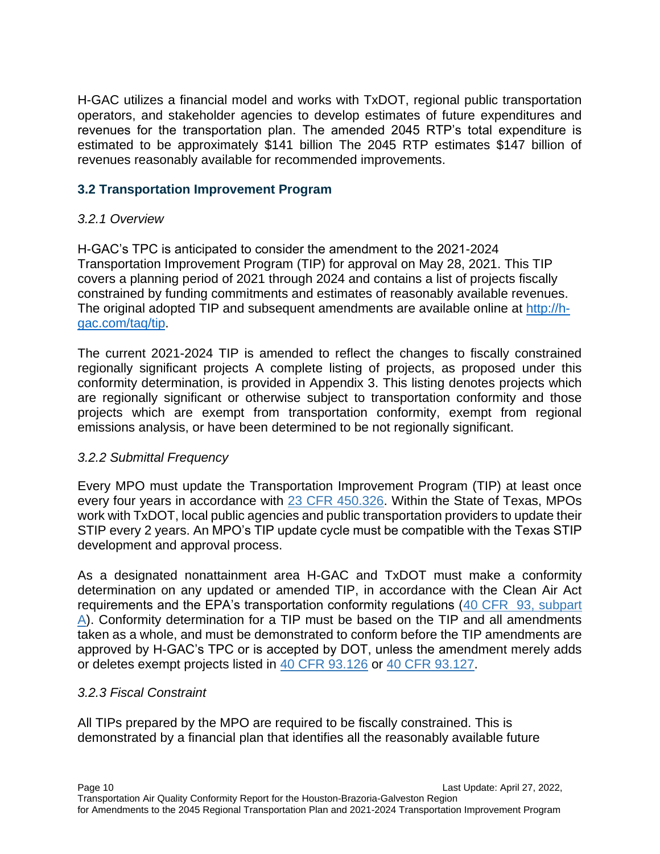H-GAC utilizes a financial model and works with TxDOT, regional public transportation operators, and stakeholder agencies to develop estimates of future expenditures and revenues for the transportation plan. The amended 2045 RTP's total expenditure is estimated to be approximately \$141 billion The 2045 RTP estimates \$147 billion of revenues reasonably available for recommended improvements.

#### **3.2 Transportation Improvement Program**

#### *3.2.1 Overview*

H-GAC's TPC is anticipated to consider the amendment to the 2021-2024 Transportation Improvement Program (TIP) for approval on May 28, 2021. This TIP covers a planning period of 2021 through 2024 and contains a list of projects fiscally constrained by funding commitments and estimates of reasonably available revenues. The original adopted TIP and subsequent amendments are available online at [http://h](http://h-gac.com/taq/tip)[gac.com/taq/tip.](http://h-gac.com/taq/tip)

The current 2021-2024 TIP is amended to reflect the changes to fiscally constrained regionally significant projects A complete listing of projects, as proposed under this conformity determination, is provided in Appendix 3. This listing denotes projects which are regionally significant or otherwise subject to transportation conformity and those projects which are exempt from transportation conformity, exempt from regional emissions analysis, or have been determined to be not regionally significant.

#### *3.2.2 Submittal Frequency*

Every MPO must update the Transportation Improvement Program (TIP) at least once every four years in accordance with [23 CFR 450.326.](https://www.ecfr.gov/cgi-bin/retrieveECFR?gp=&SID=65c567dde115b55c5c41961bc5b7d2f5&mc=true&n=pt23.1.450&r=PART&ty=HTML#se23.1.450_1326) Within the State of Texas, MPOs work with TxDOT, local public agencies and public transportation providers to update their STIP every 2 years. An MPO's TIP update cycle must be compatible with the Texas STIP development and approval process.

As a designated nonattainment area H-GAC and TxDOT must make a conformity determination on any updated or amended TIP, in accordance with the Clean Air Act requirements and the EPA's transportation conformity regulations [\(40 CFR 93, subpart](https://www.ecfr.gov/cgi-bin/text-idx?SID=eff26648f613c38d44a2ba6f009cb468&mc=true&node=pt40.22.93&rgn=div5#sp40.22.93.a) [A\)](https://www.ecfr.gov/cgi-bin/text-idx?SID=eff26648f613c38d44a2ba6f009cb468&mc=true&node=pt40.22.93&rgn=div5#sp40.22.93.a). Conformity determination for a TIP must be based on the TIP and all amendments taken as a whole, and must be demonstrated to conform before the TIP amendments are approved by H-GAC's TPC or is accepted by DOT, unless the amendment merely adds or deletes exempt projects listed in [40 CFR 93.126](https://www.ecfr.gov/cgi-bin/text-idx?SID=eff26648f613c38d44a2ba6f009cb468&mc=true&node=pt40.22.93&rgn=div5#se40.22.93_1126) or [40 CFR 93.127.](https://www.ecfr.gov/cgi-bin/text-idx?SID=eff26648f613c38d44a2ba6f009cb468&mc=true&node=pt40.22.93&rgn=div5#se40.22.93_1127)

#### *3.2.3 Fiscal Constraint*

All TIPs prepared by the MPO are required to be fiscally constrained. This is demonstrated by a financial plan that identifies all the reasonably available future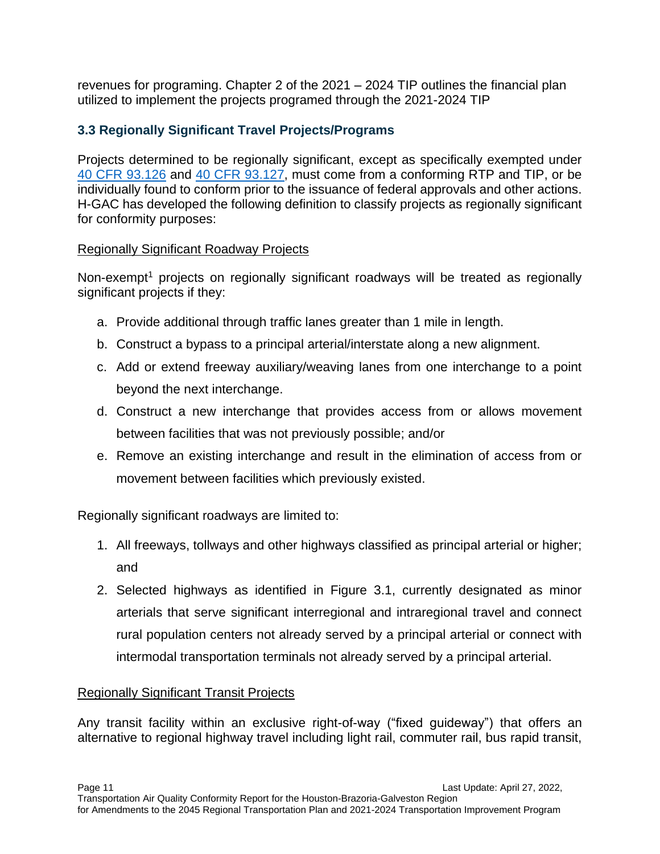revenues for programing. Chapter 2 of the 2021 – 2024 TIP outlines the financial plan utilized to implement the projects programed through the 2021-2024 TIP

## **3.3 Regionally Significant Travel Projects/Programs**

Projects determined to be regionally significant, except as specifically exempted under [40 CFR 93.126](https://www.ecfr.gov/current/title-40/chapter-I/subchapter-C/part-93#93.126) and [40 CFR 93.127,](https://www.ecfr.gov/current/title-40/chapter-I/subchapter-C/part-93#93.127) must come from a conforming RTP and TIP, or be individually found to conform prior to the issuance of federal approvals and other actions. H-GAC has developed the following definition to classify projects as regionally significant for conformity purposes:

#### Regionally Significant Roadway Projects

Non-exempt<sup>1</sup> projects on regionally significant roadways will be treated as regionally significant projects if they:

- a. Provide additional through traffic lanes greater than 1 mile in length.
- b. Construct a bypass to a principal arterial/interstate along a new alignment.
- c. Add or extend freeway auxiliary/weaving lanes from one interchange to a point beyond the next interchange.
- d. Construct a new interchange that provides access from or allows movement between facilities that was not previously possible; and/or
- e. Remove an existing interchange and result in the elimination of access from or movement between facilities which previously existed.

Regionally significant roadways are limited to:

- 1. All freeways, tollways and other highways classified as principal arterial or higher; and
- 2. Selected highways as identified in Figure 3.1, currently designated as minor arterials that serve significant interregional and intraregional travel and connect rural population centers not already served by a principal arterial or connect with intermodal transportation terminals not already served by a principal arterial.

### Regionally Significant Transit Projects

Any transit facility within an exclusive right-of-way ("fixed guideway") that offers an alternative to regional highway travel including light rail, commuter rail, bus rapid transit,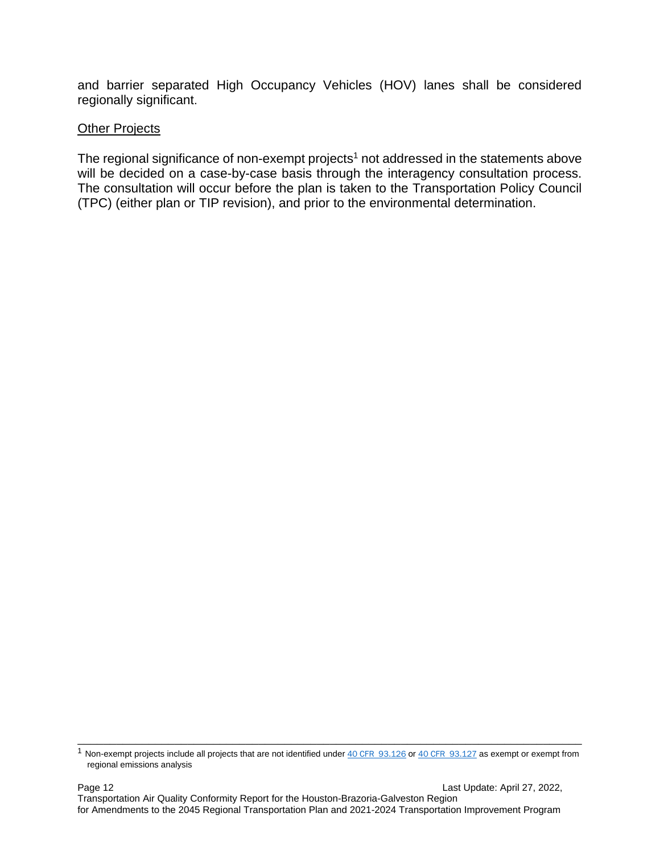and barrier separated High Occupancy Vehicles (HOV) lanes shall be considered regionally significant.

#### **Other Projects**

The regional significance of non-exempt projects<sup>1</sup> not addressed in the statements above will be decided on a case-by-case basis through the interagency consultation process. The consultation will occur before the plan is taken to the Transportation Policy Council (TPC) (either plan or TIP revision), and prior to the environmental determination.

\_\_\_\_\_\_\_\_\_\_\_\_\_\_\_\_\_\_\_\_\_\_\_\_\_\_\_\_\_\_\_\_\_\_\_\_\_\_\_\_\_\_\_\_\_\_\_\_\_\_\_\_\_\_\_\_\_\_\_\_\_\_\_\_\_\_\_\_\_\_\_\_\_\_\_\_\_\_  $1$  Non-exempt projects include all projects that are not identified under  $40$  CFR  $93.126$  or  $40$  CFR  $93.127$  as exempt or exempt from regional emissions analysis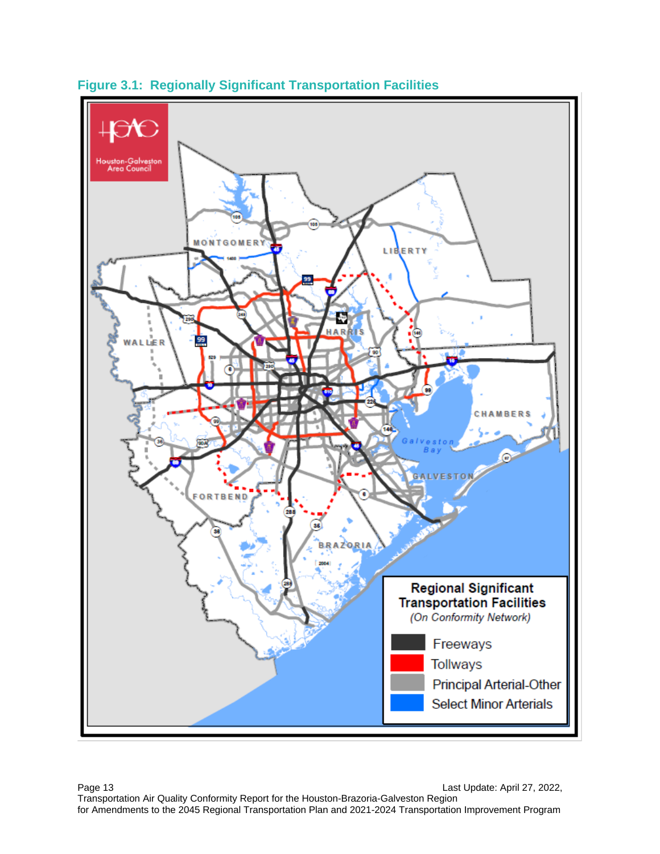

**Figure 3.1: Regionally Significant Transportation Facilities**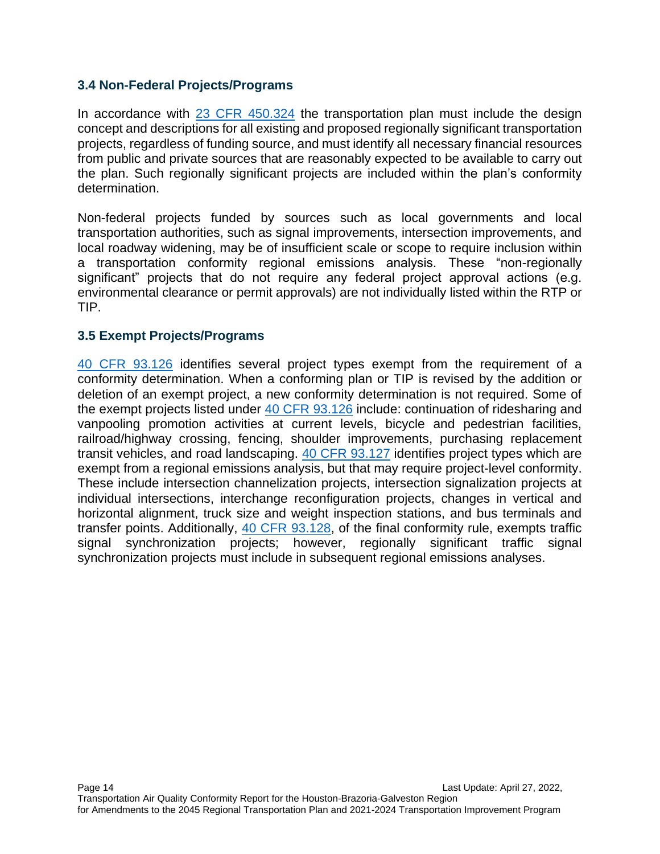#### **3.4 Non-Federal Projects/Programs**

In accordance with [23 CFR 450.324](https://www.ecfr.gov/current/title-23/chapter-I/subchapter-E/part-450/subpart-C#450.324) the transportation plan must include the design concept and descriptions for all existing and proposed regionally significant transportation projects, regardless of funding source, and must identify all necessary financial resources from public and private sources that are reasonably expected to be available to carry out the plan. Such regionally significant projects are included within the plan's conformity determination.

Non-federal projects funded by sources such as local governments and local transportation authorities, such as signal improvements, intersection improvements, and local roadway widening, may be of insufficient scale or scope to require inclusion within a transportation conformity regional emissions analysis. These "non-regionally significant" projects that do not require any federal project approval actions (e.g. environmental clearance or permit approvals) are not individually listed within the RTP or TIP.

#### **3.5 Exempt Projects/Programs**

[40 CFR 93.126](https://www.ecfr.gov/current/title-40/chapter-I/subchapter-C/part-93#93.126) identifies several project types exempt from the requirement of a conformity determination. When a conforming plan or TIP is revised by the addition or deletion of an exempt project, a new conformity determination is not required. Some of the exempt projects listed under [40 CFR 93.126](https://www.ecfr.gov/current/title-40/chapter-I/subchapter-C/part-93#93.126) include: continuation of ridesharing and vanpooling promotion activities at current levels, bicycle and pedestrian facilities, railroad/highway crossing, fencing, shoulder improvements, purchasing replacement transit vehicles, and road landscaping. [40 CFR 93.127](https://www.ecfr.gov/current/title-40/chapter-I/subchapter-C/part-93#93.127) identifies project types which are exempt from a regional emissions analysis, but that may require project-level conformity. These include intersection channelization projects, intersection signalization projects at individual intersections, interchange reconfiguration projects, changes in vertical and horizontal alignment, truck size and weight inspection stations, and bus terminals and transfer points. Additionally, [40 CFR 93.128,](https://www.ecfr.gov/current/title-40/chapter-I/subchapter-C/part-93#93.128) of the final conformity rule, exempts traffic signal synchronization projects; however, regionally significant traffic signal synchronization projects must include in subsequent regional emissions analyses.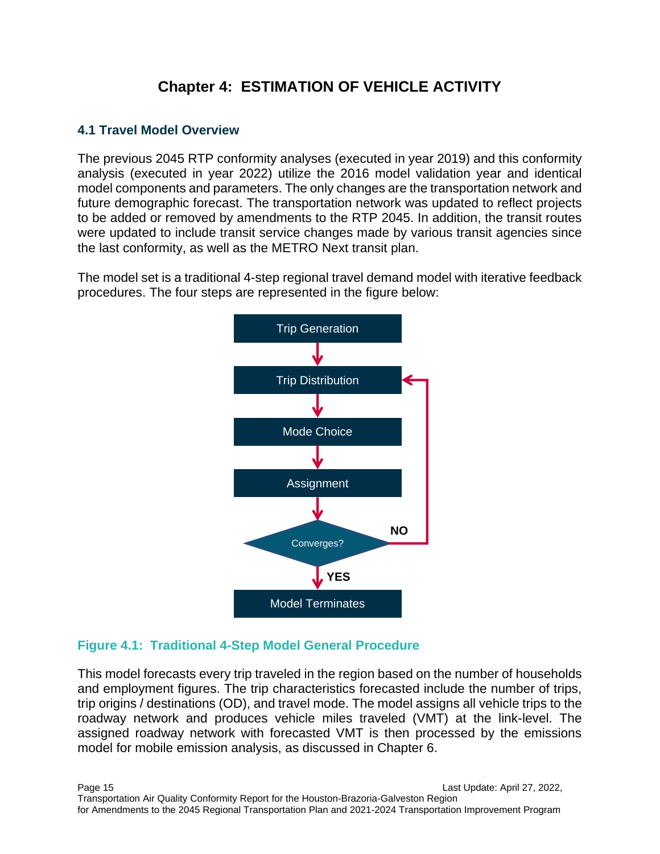# **Chapter 4: ESTIMATION OF VEHICLE ACTIVITY**

#### **4.1 Travel Model Overview**

The previous 2045 RTP conformity analyses (executed in year 2019) and this conformity analysis (executed in year 2022) utilize the 2016 model validation year and identical model components and parameters. The only changes are the transportation network and future demographic forecast. The transportation network was updated to reflect projects to be added or removed by amendments to the RTP 2045. In addition, the transit routes were updated to include transit service changes made by various transit agencies since the last conformity, as well as the METRO Next transit plan.

The model set is a traditional 4-step regional travel demand model with iterative feedback procedures. The four steps are represented in the figure below:



### **Figure 4.1: Traditional 4-Step Model General Procedure**

This model forecasts every trip traveled in the region based on the number of households and employment figures. The trip characteristics forecasted include the number of trips, trip origins / destinations (OD), and travel mode. The model assigns all vehicle trips to the roadway network and produces vehicle miles traveled (VMT) at the link-level. The assigned roadway network with forecasted VMT is then processed by the emissions model for mobile emission analysis, as discussed in Chapter 6.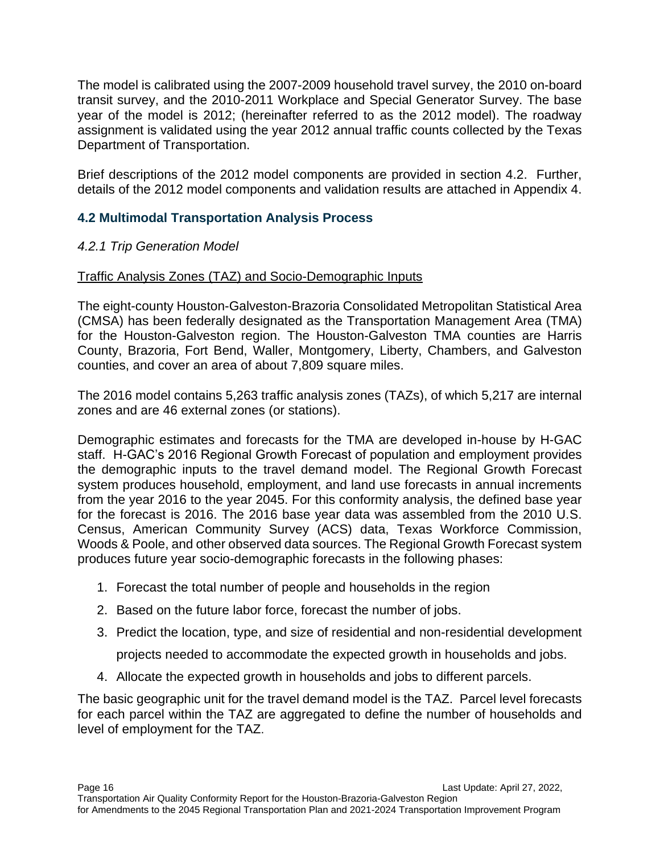The model is calibrated using the 2007-2009 household travel survey, the 2010 on-board transit survey, and the 2010-2011 Workplace and Special Generator Survey. The base year of the model is 2012; (hereinafter referred to as the 2012 model). The roadway assignment is validated using the year 2012 annual traffic counts collected by the Texas Department of Transportation.

Brief descriptions of the 2012 model components are provided in section 4.2. Further, details of the 2012 model components and validation results are attached in Appendix 4.

### **4.2 Multimodal Transportation Analysis Process**

#### *4.2.1 Trip Generation Model*

#### Traffic Analysis Zones (TAZ) and Socio-Demographic Inputs

The eight-county Houston-Galveston-Brazoria Consolidated Metropolitan Statistical Area (CMSA) has been federally designated as the Transportation Management Area (TMA) for the Houston-Galveston region. The Houston-Galveston TMA counties are Harris County, Brazoria, Fort Bend, Waller, Montgomery, Liberty, Chambers, and Galveston counties, and cover an area of about 7,809 square miles.

The 2016 model contains 5,263 traffic analysis zones (TAZs), of which 5,217 are internal zones and are 46 external zones (or stations).

Demographic estimates and forecasts for the TMA are developed in-house by H-GAC staff. H-GAC's 2016 Regional Growth Forecast of population and employment provides the demographic inputs to the travel demand model. The Regional Growth Forecast system produces household, employment, and land use forecasts in annual increments from the year 2016 to the year 2045. For this conformity analysis, the defined base year for the forecast is 2016. The 2016 base year data was assembled from the 2010 U.S. Census, American Community Survey (ACS) data, Texas Workforce Commission, Woods & Poole, and other observed data sources. The Regional Growth Forecast system produces future year socio-demographic forecasts in the following phases:

- 1. Forecast the total number of people and households in the region
- 2. Based on the future labor force, forecast the number of jobs.
- 3. Predict the location, type, and size of residential and non-residential development

projects needed to accommodate the expected growth in households and jobs.

4. Allocate the expected growth in households and jobs to different parcels.

The basic geographic unit for the travel demand model is the TAZ. Parcel level forecasts for each parcel within the TAZ are aggregated to define the number of households and level of employment for the TAZ.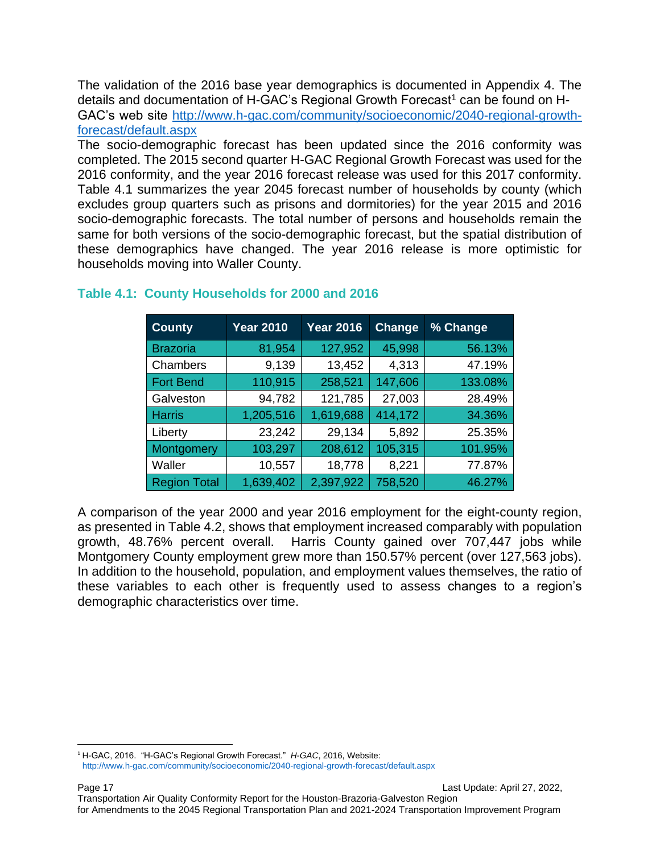The validation of the 2016 base year demographics is documented in Appendix 4. The details and documentation of H-GAC's Regional Growth Forecast<sup>1</sup> can be found on H-GAC's web site [http://www.h-gac.com/community/socioeconomic/2040-regional-growth](http://www.h-gac.com/community/socioeconomic/2040-regional-growth-forecast/default.aspx)[forecast/default.aspx](http://www.h-gac.com/community/socioeconomic/2040-regional-growth-forecast/default.aspx)

The socio-demographic forecast has been updated since the 2016 conformity was completed. The 2015 second quarter H-GAC Regional Growth Forecast was used for the 2016 conformity, and the year 2016 forecast release was used for this 2017 conformity. Table 4.1 summarizes the year 2045 forecast number of households by county (which excludes group quarters such as prisons and dormitories) for the year 2015 and 2016 socio-demographic forecasts. The total number of persons and households remain the same for both versions of the socio-demographic forecast, but the spatial distribution of these demographics have changed. The year 2016 release is more optimistic for households moving into Waller County.

| <b>County</b>       | <b>Year 2010</b> | <b>Year 2016</b> | <b>Change</b> | % Change |
|---------------------|------------------|------------------|---------------|----------|
| <b>Brazoria</b>     | 81,954           | 127,952          | 45,998        | 56.13%   |
| Chambers            | 9,139            | 13,452           | 4,313         | 47.19%   |
| <b>Fort Bend</b>    | 110,915          | 258,521          | 147,606       | 133.08%  |
| Galveston           | 94,782           | 121,785          | 27,003        | 28.49%   |
| <b>Harris</b>       | 1,205,516        | 1,619,688        | 414,172       | 34.36%   |
| Liberty             | 23,242           | 29,134           | 5,892         | 25.35%   |
| Montgomery          | 103,297          | 208,612          | 105,315       | 101.95%  |
| Waller              | 10,557           | 18,778           | 8,221         | 77.87%   |
| <b>Region Total</b> | 1,639,402        | 2,397,922        | 758,520       | 46.27%   |

### **Table 4.1: County Households for 2000 and 2016**

A comparison of the year 2000 and year 2016 employment for the eight-county region, as presented in Table 4.2, shows that employment increased comparably with population growth, 48.76% percent overall. Harris County gained over 707,447 jobs while Montgomery County employment grew more than 150.57% percent (over 127,563 jobs). In addition to the household, population, and employment values themselves, the ratio of these variables to each other is frequently used to assess changes to a region's demographic characteristics over time.

<sup>1</sup> H-GAC, 2016. "H-GAC's Regional Growth Forecast." *H-GAC*, 2016, Website: <http://www.h-gac.com/community/socioeconomic/2040-regional-growth-forecast/default.aspx>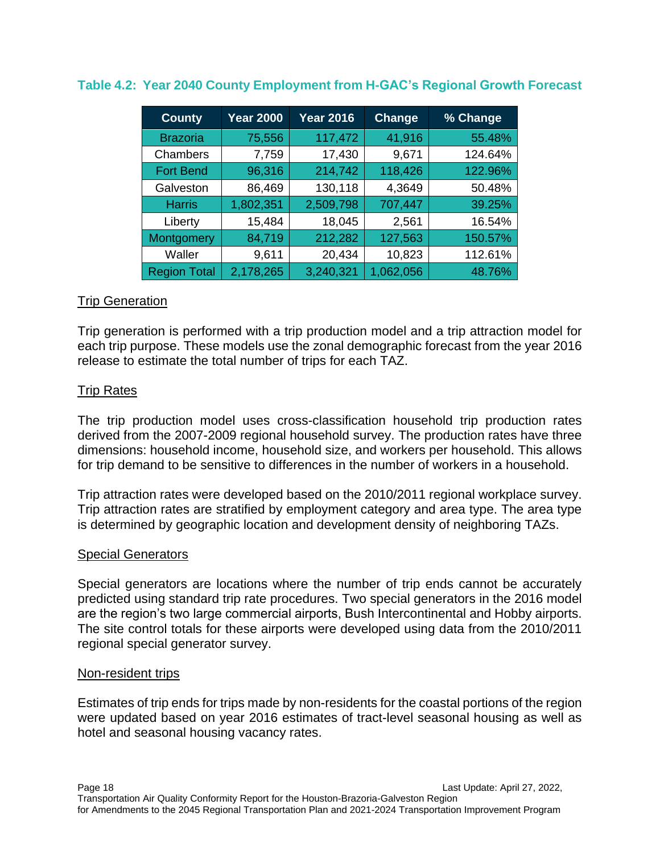| <b>County</b>       | <b>Year 2000</b> | <b>Year 2016</b> | Change    | % Change |
|---------------------|------------------|------------------|-----------|----------|
| <b>Brazoria</b>     | 75,556           | 117,472          | 41,916    | 55.48%   |
| Chambers            | 7,759            | 17,430           | 9,671     | 124.64%  |
| <b>Fort Bend</b>    | 96,316           | 214,742          | 118,426   | 122.96%  |
| Galveston           | 86,469           | 130,118          | 4,3649    | 50.48%   |
| <b>Harris</b>       | 1,802,351        | 2,509,798        | 707,447   | 39.25%   |
| Liberty             | 15,484           | 18,045           | 2,561     | 16.54%   |
| Montgomery          | 84,719           | 212,282          | 127,563   | 150.57%  |
| Waller              | 9,611            | 20,434           | 10,823    | 112.61%  |
| <b>Region Total</b> | 2,178,265        | 3,240,321        | 1,062,056 | 48.76%   |

#### **Table 4.2: Year 2040 County Employment from H-GAC's Regional Growth Forecast**

#### Trip Generation

Trip generation is performed with a trip production model and a trip attraction model for each trip purpose. These models use the zonal demographic forecast from the year 2016 release to estimate the total number of trips for each TAZ.

#### Trip Rates

The trip production model uses cross-classification household trip production rates derived from the 2007-2009 regional household survey. The production rates have three dimensions: household income, household size, and workers per household. This allows for trip demand to be sensitive to differences in the number of workers in a household.

Trip attraction rates were developed based on the 2010/2011 regional workplace survey. Trip attraction rates are stratified by employment category and area type. The area type is determined by geographic location and development density of neighboring TAZs.

#### Special Generators

Special generators are locations where the number of trip ends cannot be accurately predicted using standard trip rate procedures. Two special generators in the 2016 model are the region's two large commercial airports, Bush Intercontinental and Hobby airports. The site control totals for these airports were developed using data from the 2010/2011 regional special generator survey.

#### Non-resident trips

Estimates of trip ends for trips made by non-residents for the coastal portions of the region were updated based on year 2016 estimates of tract-level seasonal housing as well as hotel and seasonal housing vacancy rates.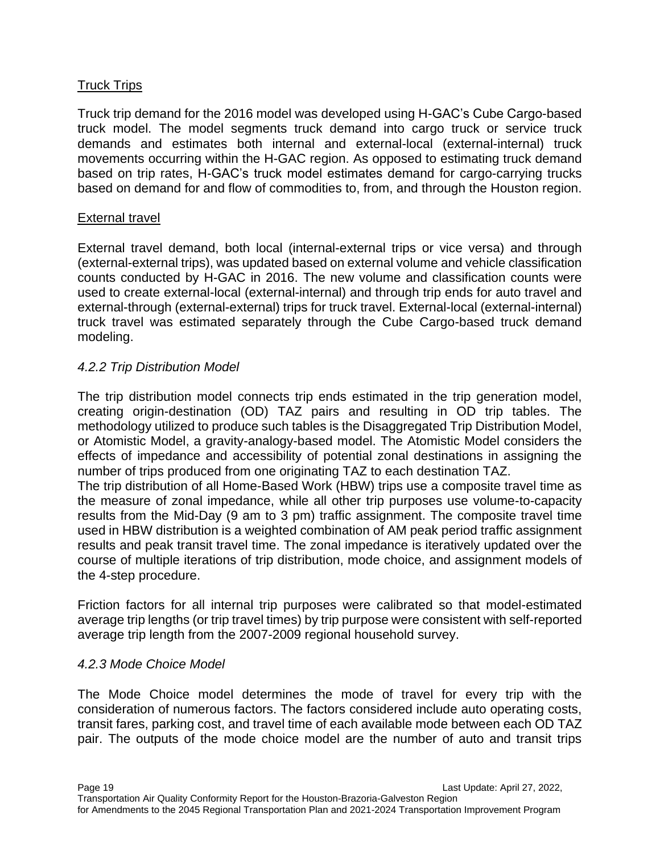#### Truck Trips

Truck trip demand for the 2016 model was developed using H-GAC's Cube Cargo-based truck model. The model segments truck demand into cargo truck or service truck demands and estimates both internal and external-local (external-internal) truck movements occurring within the H-GAC region. As opposed to estimating truck demand based on trip rates, H-GAC's truck model estimates demand for cargo-carrying trucks based on demand for and flow of commodities to, from, and through the Houston region.

#### External travel

External travel demand, both local (internal-external trips or vice versa) and through (external-external trips), was updated based on external volume and vehicle classification counts conducted by H-GAC in 2016. The new volume and classification counts were used to create external-local (external-internal) and through trip ends for auto travel and external-through (external-external) trips for truck travel. External-local (external-internal) truck travel was estimated separately through the Cube Cargo-based truck demand modeling.

#### *4.2.2 Trip Distribution Model*

The trip distribution model connects trip ends estimated in the trip generation model, creating origin-destination (OD) TAZ pairs and resulting in OD trip tables. The methodology utilized to produce such tables is the Disaggregated Trip Distribution Model, or Atomistic Model, a gravity-analogy-based model. The Atomistic Model considers the effects of impedance and accessibility of potential zonal destinations in assigning the number of trips produced from one originating TAZ to each destination TAZ.

The trip distribution of all Home-Based Work (HBW) trips use a composite travel time as the measure of zonal impedance, while all other trip purposes use volume-to-capacity results from the Mid-Day (9 am to 3 pm) traffic assignment. The composite travel time used in HBW distribution is a weighted combination of AM peak period traffic assignment results and peak transit travel time. The zonal impedance is iteratively updated over the course of multiple iterations of trip distribution, mode choice, and assignment models of the 4-step procedure.

Friction factors for all internal trip purposes were calibrated so that model-estimated average trip lengths (or trip travel times) by trip purpose were consistent with self-reported average trip length from the 2007-2009 regional household survey.

#### *4.2.3 Mode Choice Model*

The Mode Choice model determines the mode of travel for every trip with the consideration of numerous factors. The factors considered include auto operating costs, transit fares, parking cost, and travel time of each available mode between each OD TAZ pair. The outputs of the mode choice model are the number of auto and transit trips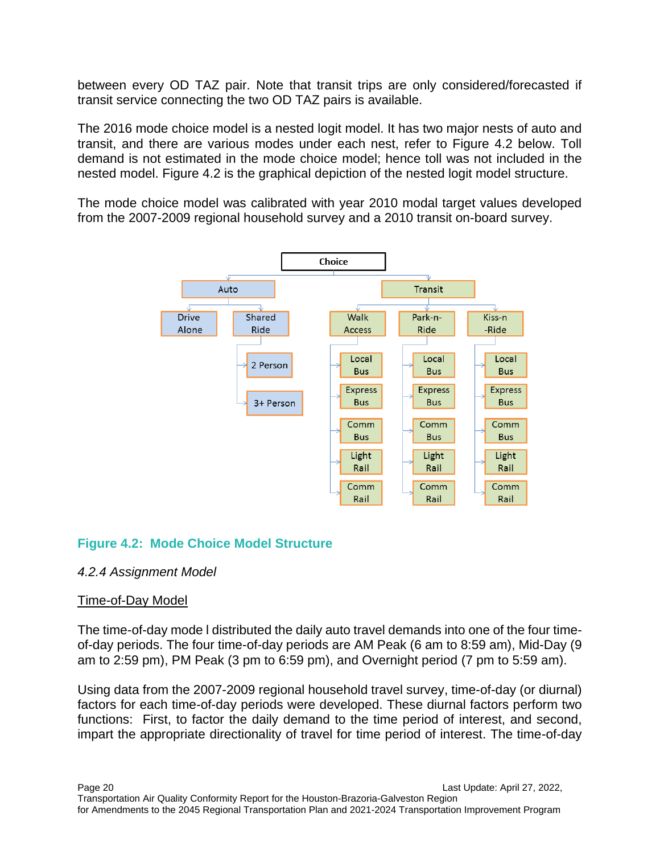between every OD TAZ pair. Note that transit trips are only considered/forecasted if transit service connecting the two OD TAZ pairs is available.

The 2016 mode choice model is a nested logit model. It has two major nests of auto and transit, and there are various modes under each nest, refer to Figure 4.2 below. Toll demand is not estimated in the mode choice model; hence toll was not included in the nested model. Figure 4.2 is the graphical depiction of the nested logit model structure.

The mode choice model was calibrated with year 2010 modal target values developed from the 2007-2009 regional household survey and a 2010 transit on-board survey.



#### **Figure 4.2: Mode Choice Model Structure**

#### *4.2.4 Assignment Model*

#### Time-of-Day Model

The time-of-day mode l distributed the daily auto travel demands into one of the four timeof-day periods. The four time-of-day periods are AM Peak (6 am to 8:59 am), Mid-Day (9 am to 2:59 pm), PM Peak (3 pm to 6:59 pm), and Overnight period (7 pm to 5:59 am).

Using data from the 2007-2009 regional household travel survey, time-of-day (or diurnal) factors for each time-of-day periods were developed. These diurnal factors perform two functions: First, to factor the daily demand to the time period of interest, and second, impart the appropriate directionality of travel for time period of interest. The time-of-day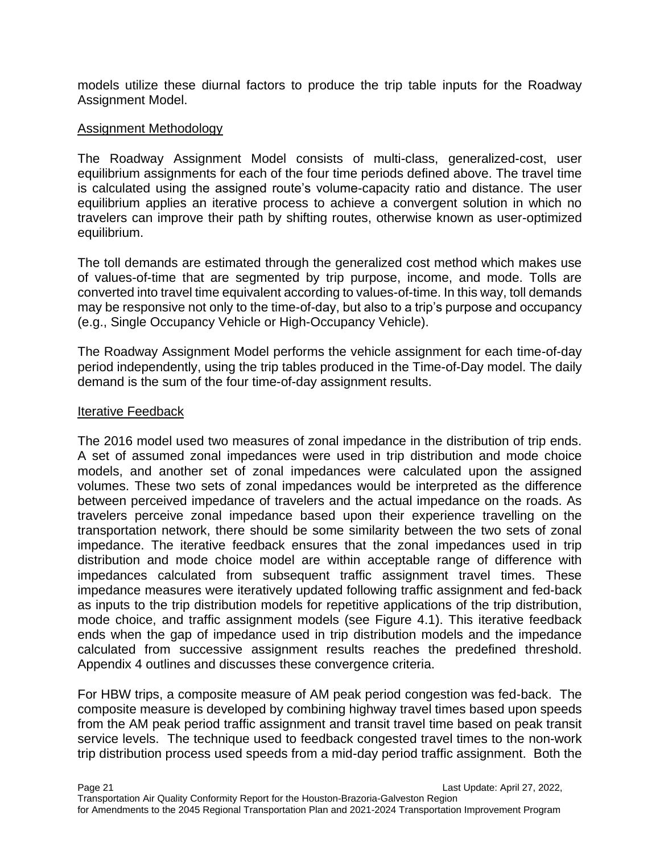models utilize these diurnal factors to produce the trip table inputs for the Roadway Assignment Model.

#### Assignment Methodology

The Roadway Assignment Model consists of multi-class, generalized-cost, user equilibrium assignments for each of the four time periods defined above. The travel time is calculated using the assigned route's volume-capacity ratio and distance. The user equilibrium applies an iterative process to achieve a convergent solution in which no travelers can improve their path by shifting routes, otherwise known as user-optimized equilibrium.

The toll demands are estimated through the generalized cost method which makes use of values-of-time that are segmented by trip purpose, income, and mode. Tolls are converted into travel time equivalent according to values-of-time. In this way, toll demands may be responsive not only to the time-of-day, but also to a trip's purpose and occupancy (e.g., Single Occupancy Vehicle or High-Occupancy Vehicle).

The Roadway Assignment Model performs the vehicle assignment for each time-of-day period independently, using the trip tables produced in the Time-of-Day model. The daily demand is the sum of the four time-of-day assignment results.

#### Iterative Feedback

The 2016 model used two measures of zonal impedance in the distribution of trip ends. A set of assumed zonal impedances were used in trip distribution and mode choice models, and another set of zonal impedances were calculated upon the assigned volumes. These two sets of zonal impedances would be interpreted as the difference between perceived impedance of travelers and the actual impedance on the roads. As travelers perceive zonal impedance based upon their experience travelling on the transportation network, there should be some similarity between the two sets of zonal impedance. The iterative feedback ensures that the zonal impedances used in trip distribution and mode choice model are within acceptable range of difference with impedances calculated from subsequent traffic assignment travel times. These impedance measures were iteratively updated following traffic assignment and fed-back as inputs to the trip distribution models for repetitive applications of the trip distribution, mode choice, and traffic assignment models (see Figure 4.1). This iterative feedback ends when the gap of impedance used in trip distribution models and the impedance calculated from successive assignment results reaches the predefined threshold. Appendix 4 outlines and discusses these convergence criteria.

For HBW trips, a composite measure of AM peak period congestion was fed-back. The composite measure is developed by combining highway travel times based upon speeds from the AM peak period traffic assignment and transit travel time based on peak transit service levels. The technique used to feedback congested travel times to the non-work trip distribution process used speeds from a mid-day period traffic assignment. Both the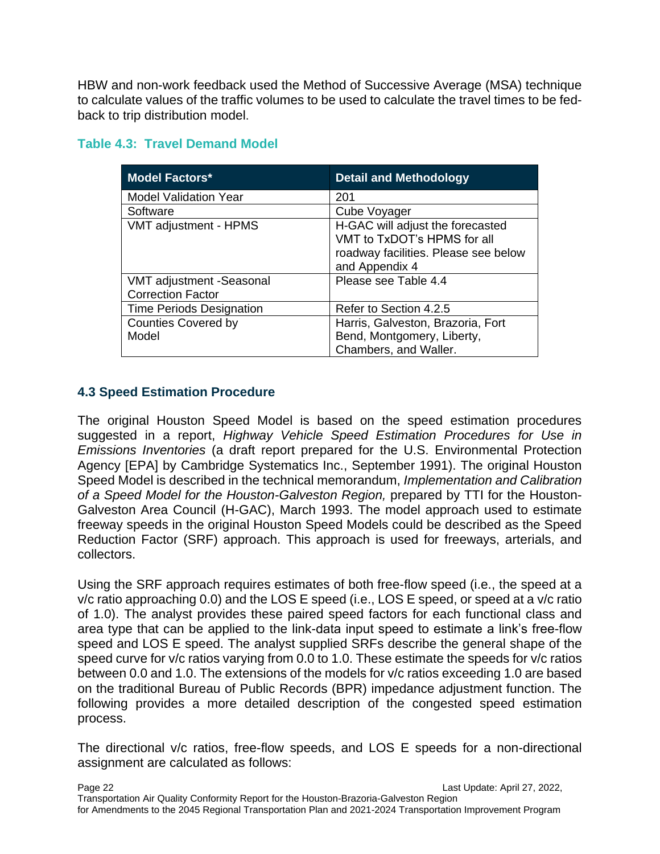HBW and non-work feedback used the Method of Successive Average (MSA) technique to calculate values of the traffic volumes to be used to calculate the travel times to be fedback to trip distribution model.

#### **Table 4.3: Travel Demand Model**

| <b>Model Factors*</b>                                | <b>Detail and Methodology</b>                                                                                             |
|------------------------------------------------------|---------------------------------------------------------------------------------------------------------------------------|
| <b>Model Validation Year</b>                         | 201                                                                                                                       |
| Software                                             | Cube Voyager                                                                                                              |
| VMT adjustment - HPMS                                | H-GAC will adjust the forecasted<br>VMT to TxDOT's HPMS for all<br>roadway facilities. Please see below<br>and Appendix 4 |
| VMT adjustment -Seasonal<br><b>Correction Factor</b> | Please see Table 4.4                                                                                                      |
| <b>Time Periods Designation</b>                      | Refer to Section 4.2.5                                                                                                    |
| <b>Counties Covered by</b><br>Model                  | Harris, Galveston, Brazoria, Fort<br>Bend, Montgomery, Liberty,<br>Chambers, and Waller.                                  |

#### **4.3 Speed Estimation Procedure**

The original Houston Speed Model is based on the speed estimation procedures suggested in a report, *Highway Vehicle Speed Estimation Procedures for Use in Emissions Inventories* (a draft report prepared for the U.S. Environmental Protection Agency [EPA] by Cambridge Systematics Inc., September 1991). The original Houston Speed Model is described in the technical memorandum, *Implementation and Calibration of a Speed Model for the Houston-Galveston Region,* prepared by TTI for the Houston-Galveston Area Council (H-GAC), March 1993. The model approach used to estimate freeway speeds in the original Houston Speed Models could be described as the Speed Reduction Factor (SRF) approach. This approach is used for freeways, arterials, and collectors.

Using the SRF approach requires estimates of both free-flow speed (i.e., the speed at a v/c ratio approaching 0.0) and the LOS E speed (i.e., LOS E speed, or speed at a v/c ratio of 1.0). The analyst provides these paired speed factors for each functional class and area type that can be applied to the link-data input speed to estimate a link's free-flow speed and LOS E speed. The analyst supplied SRFs describe the general shape of the speed curve for v/c ratios varying from 0.0 to 1.0. These estimate the speeds for v/c ratios between 0.0 and 1.0. The extensions of the models for v/c ratios exceeding 1.0 are based on the traditional Bureau of Public Records (BPR) impedance adjustment function. The following provides a more detailed description of the congested speed estimation process.

The directional v/c ratios, free-flow speeds, and LOS E speeds for a non-directional assignment are calculated as follows: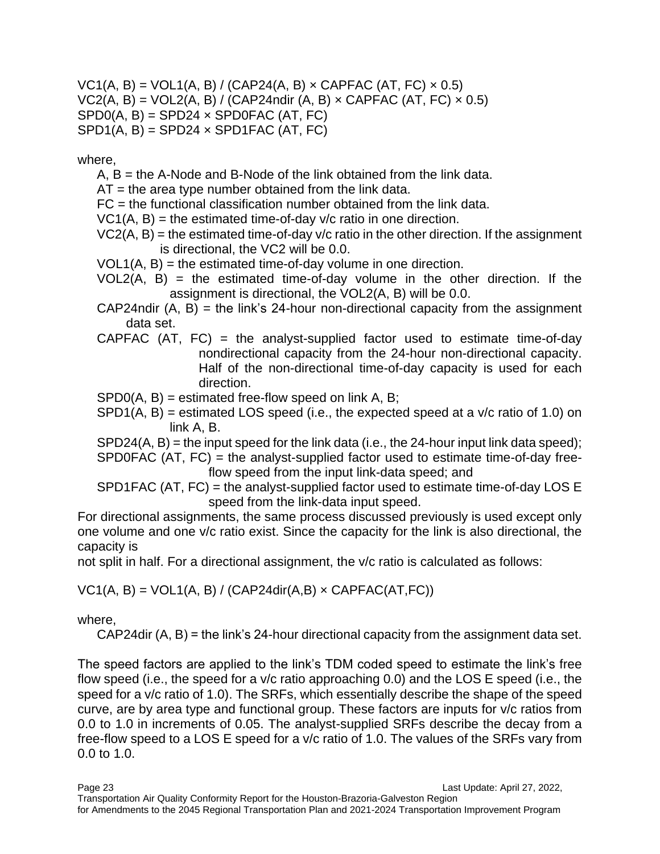$VC1(A, B) = VOL1(A, B) / (CAP24(A, B) \times CAPFAC (AT, FC) \times 0.5)$  $VC2(A, B) = VOL2(A, B) / (CAP24ndir (A, B) \times CAPFAC (AT, FC) \times 0.5)$  $SPD0(A, B) = SPD24 \times SPD0FAC (AT, FC)$  $SPD1(A, B) = SPD24 \times SPD1FAC (AT, FC)$ 

where,

- A, B = the A-Node and B-Node of the link obtained from the link data.
- $AT =$  the area type number obtained from the link data.
- FC = the functional classification number obtained from the link data.
- $VC1(A, B)$  = the estimated time-of-day v/c ratio in one direction.
- $VC2(A, B)$  = the estimated time-of-day  $v/c$  ratio in the other direction. If the assignment is directional, the VC2 will be 0.0.
- $VOL1(A, B) =$  the estimated time-of-day volume in one direction.
- $VOL2(A, B)$  = the estimated time-of-day volume in the other direction. If the assignment is directional, the VOL2(A, B) will be 0.0.
- $CAP24$ ndir  $(A, B)$  = the link's 24-hour non-directional capacity from the assignment data set.
- CAPFAC  $(AT, FC)$  = the analyst-supplied factor used to estimate time-of-day nondirectional capacity from the 24-hour non-directional capacity. Half of the non-directional time-of-day capacity is used for each direction.
- $SPDO(A, B) = estimated free-flow speed on link A, B;$
- $SPD1(A, B)$  = estimated LOS speed (i.e., the expected speed at a v/c ratio of 1.0) on link A, B.

 $SPD24(A, B)$  = the input speed for the link data (i.e., the 24-hour input link data speed); SPD0FAC (AT, FC) = the analyst-supplied factor used to estimate time-of-day freeflow speed from the input link-data speed; and

SPD1FAC (AT, FC) = the analyst-supplied factor used to estimate time-of-day LOS E speed from the link-data input speed.

For directional assignments, the same process discussed previously is used except only one volume and one v/c ratio exist. Since the capacity for the link is also directional, the capacity is

not split in half. For a directional assignment, the v/c ratio is calculated as follows:

 $VC1(A, B) = VOL1(A, B) / (CAP24dir(A, B) \times CAPFAC(AT, FC))$ 

where,

CAP24dir (A, B) = the link's 24-hour directional capacity from the assignment data set.

The speed factors are applied to the link's TDM coded speed to estimate the link's free flow speed (i.e., the speed for a v/c ratio approaching 0.0) and the LOS E speed (i.e., the speed for a v/c ratio of 1.0). The SRFs, which essentially describe the shape of the speed curve, are by area type and functional group. These factors are inputs for v/c ratios from 0.0 to 1.0 in increments of 0.05. The analyst-supplied SRFs describe the decay from a free-flow speed to a LOS E speed for a v/c ratio of 1.0. The values of the SRFs vary from 0.0 to 1.0.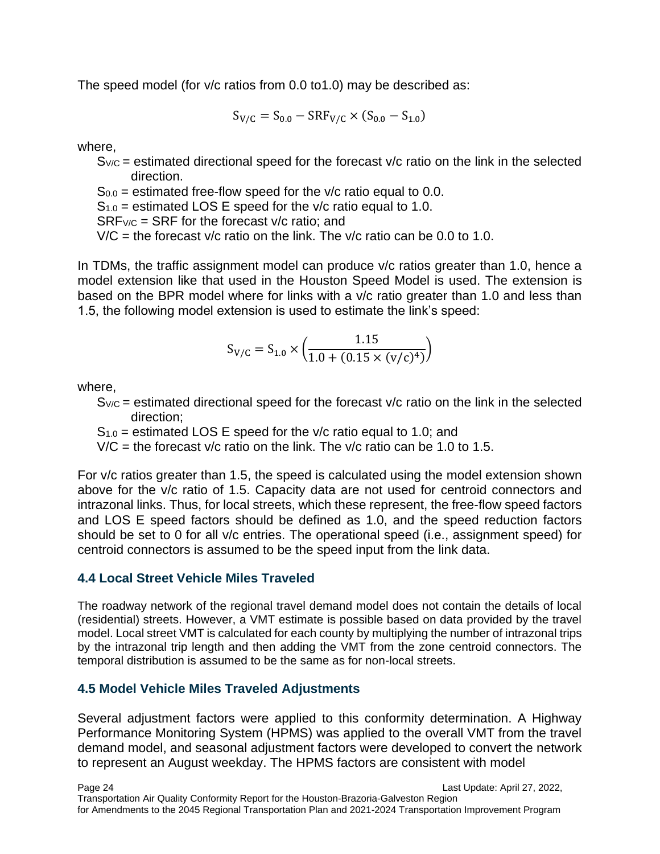The speed model (for v/c ratios from 0.0 to1.0) may be described as:

$$
S_{V/C} = S_{0.0} - SRF_{V/C} \times (S_{0.0} - S_{1.0})
$$

where,

 $S_{V/C}$  = estimated directional speed for the forecast  $V/C$  ratio on the link in the selected direction.

 $S_{0.0}$  = estimated free-flow speed for the v/c ratio equal to 0.0.

 $S_{1.0}$  = estimated LOS E speed for the v/c ratio equal to 1.0.

 $SRFV/C = SRF$  for the forecast  $V/C$  ratio: and

 $V/C =$  the forecast v/c ratio on the link. The v/c ratio can be 0.0 to 1.0.

In TDMs, the traffic assignment model can produce  $v/c$  ratios greater than 1.0, hence a model extension like that used in the Houston Speed Model is used. The extension is based on the BPR model where for links with a v/c ratio greater than 1.0 and less than 1.5, the following model extension is used to estimate the link's speed:

$$
S_{V/C} = S_{1.0} \times \left(\frac{1.15}{1.0 + (0.15 \times (v/c)^4)}\right)
$$

where,

 $S_{V/C}$  = estimated directional speed for the forecast  $V/C$  ratio on the link in the selected direction;

 $S_{1.0}$  = estimated LOS E speed for the v/c ratio equal to 1.0; and

 $V/C =$  the forecast v/c ratio on the link. The v/c ratio can be 1.0 to 1.5.

For v/c ratios greater than 1.5, the speed is calculated using the model extension shown above for the v/c ratio of 1.5. Capacity data are not used for centroid connectors and intrazonal links. Thus, for local streets, which these represent, the free-flow speed factors and LOS E speed factors should be defined as 1.0, and the speed reduction factors should be set to 0 for all v/c entries. The operational speed (i.e., assignment speed) for centroid connectors is assumed to be the speed input from the link data.

#### **4.4 Local Street Vehicle Miles Traveled**

The roadway network of the regional travel demand model does not contain the details of local (residential) streets. However, a VMT estimate is possible based on data provided by the travel model. Local street VMT is calculated for each county by multiplying the number of intrazonal trips by the intrazonal trip length and then adding the VMT from the zone centroid connectors. The temporal distribution is assumed to be the same as for non-local streets.

#### **4.5 Model Vehicle Miles Traveled Adjustments**

Several adjustment factors were applied to this conformity determination. A Highway Performance Monitoring System (HPMS) was applied to the overall VMT from the travel demand model, and seasonal adjustment factors were developed to convert the network to represent an August weekday. The HPMS factors are consistent with model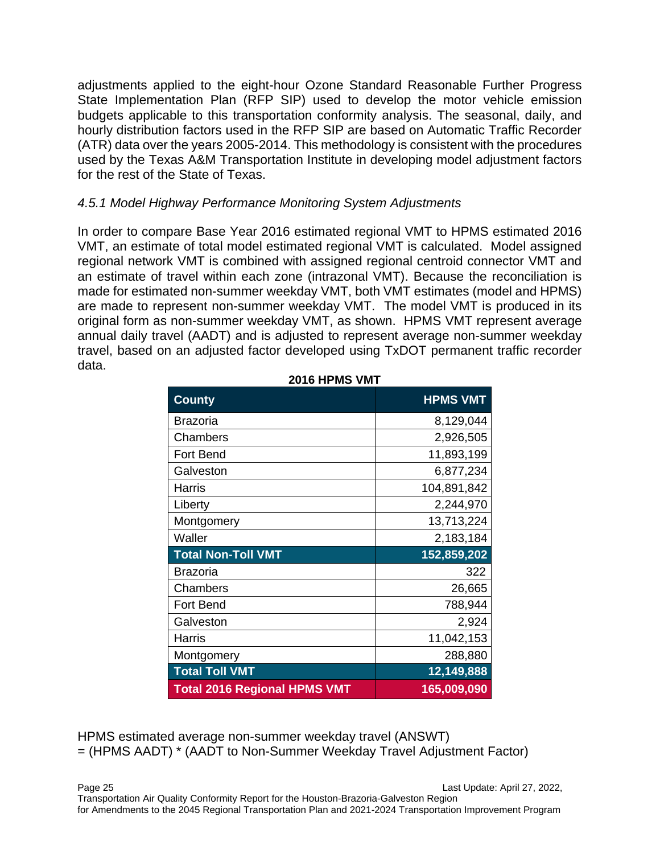adjustments applied to the eight-hour Ozone Standard Reasonable Further Progress State Implementation Plan (RFP SIP) used to develop the motor vehicle emission budgets applicable to this transportation conformity analysis. The seasonal, daily, and hourly distribution factors used in the RFP SIP are based on Automatic Traffic Recorder (ATR) data over the years 2005-2014. This methodology is consistent with the procedures used by the Texas A&M Transportation Institute in developing model adjustment factors for the rest of the State of Texas.

#### *4.5.1 Model Highway Performance Monitoring System Adjustments*

In order to compare Base Year 2016 estimated regional VMT to HPMS estimated 2016 VMT, an estimate of total model estimated regional VMT is calculated. Model assigned regional network VMT is combined with assigned regional centroid connector VMT and an estimate of travel within each zone (intrazonal VMT). Because the reconciliation is made for estimated non-summer weekday VMT, both VMT estimates (model and HPMS) are made to represent non-summer weekday VMT. The model VMT is produced in its original form as non-summer weekday VMT, as shown. HPMS VMT represent average annual daily travel (AADT) and is adjusted to represent average non-summer weekday travel, based on an adjusted factor developed using TxDOT permanent traffic recorder data.

| <b>County</b>                       | <b>HPMS VMT</b> |
|-------------------------------------|-----------------|
| <b>Brazoria</b>                     | 8,129,044       |
| Chambers                            | 2,926,505       |
| <b>Fort Bend</b>                    | 11,893,199      |
| Galveston                           | 6,877,234       |
| <b>Harris</b>                       | 104,891,842     |
| Liberty                             | 2,244,970       |
| Montgomery                          | 13,713,224      |
| Waller                              | 2,183,184       |
| <b>Total Non-Toll VMT</b>           | 152,859,202     |
| <b>Brazoria</b>                     | 322             |
| Chambers                            | 26,665          |
| <b>Fort Bend</b>                    | 788,944         |
| Galveston                           | 2,924           |
| <b>Harris</b>                       | 11,042,153      |
| Montgomery                          | 288,880         |
| <b>Total Toll VMT</b>               | 12,149,888      |
| <b>Total 2016 Regional HPMS VMT</b> | 165,009,090     |

**2016 HPMS VMT**

HPMS estimated average non-summer weekday travel (ANSWT) = (HPMS AADT) \* (AADT to Non-Summer Weekday Travel Adjustment Factor)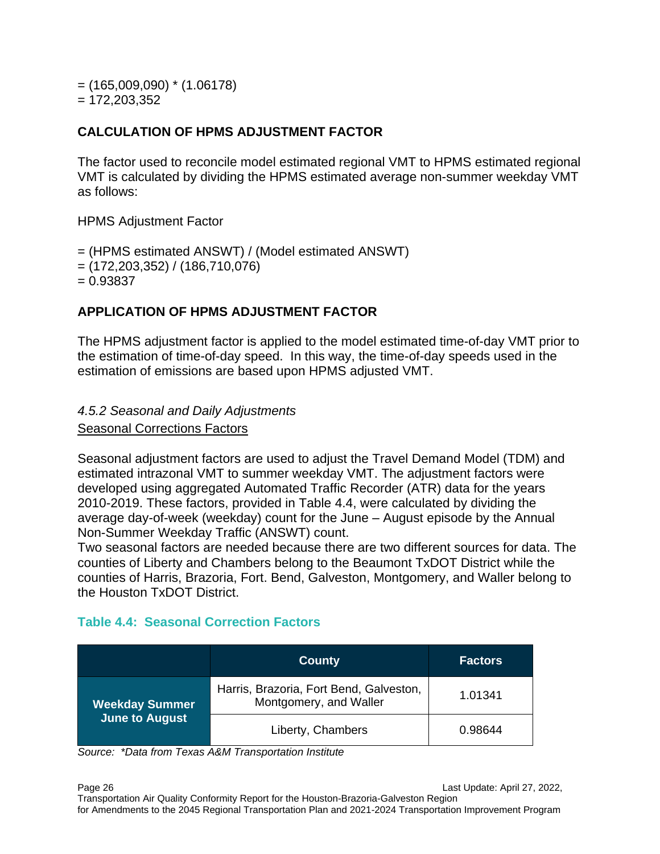$=$  (165,009,090)  $*$  (1.06178)  $= 172,203,352$ 

### **CALCULATION OF HPMS ADJUSTMENT FACTOR**

The factor used to reconcile model estimated regional VMT to HPMS estimated regional VMT is calculated by dividing the HPMS estimated average non-summer weekday VMT as follows:

HPMS Adjustment Factor

= (HPMS estimated ANSWT) / (Model estimated ANSWT) = (172,203,352) / (186,710,076)  $= 0.93837$ 

### **APPLICATION OF HPMS ADJUSTMENT FACTOR**

The HPMS adjustment factor is applied to the model estimated time-of-day VMT prior to the estimation of time-of-day speed. In this way, the time-of-day speeds used in the estimation of emissions are based upon HPMS adjusted VMT.

#### *4.5.2 Seasonal and Daily Adjustments*

Seasonal Corrections Factors

Seasonal adjustment factors are used to adjust the Travel Demand Model (TDM) and estimated intrazonal VMT to summer weekday VMT. The adjustment factors were developed using aggregated Automated Traffic Recorder (ATR) data for the years 2010-2019. These factors, provided in Table 4.4, were calculated by dividing the average day-of-week (weekday) count for the June – August episode by the Annual Non-Summer Weekday Traffic (ANSWT) count.

Two seasonal factors are needed because there are two different sources for data. The counties of Liberty and Chambers belong to the Beaumont TxDOT District while the counties of Harris, Brazoria, Fort. Bend, Galveston, Montgomery, and Waller belong to the Houston TxDOT District.

### **Table 4.4: Seasonal Correction Factors**

|                       | <b>County</b>                                                     | <b>Factors</b> |
|-----------------------|-------------------------------------------------------------------|----------------|
| <b>Weekday Summer</b> | Harris, Brazoria, Fort Bend, Galveston,<br>Montgomery, and Waller |                |
| <b>June to August</b> | Liberty, Chambers                                                 | 0.98644        |

*Source: \*Data from Texas A&M Transportation Institute*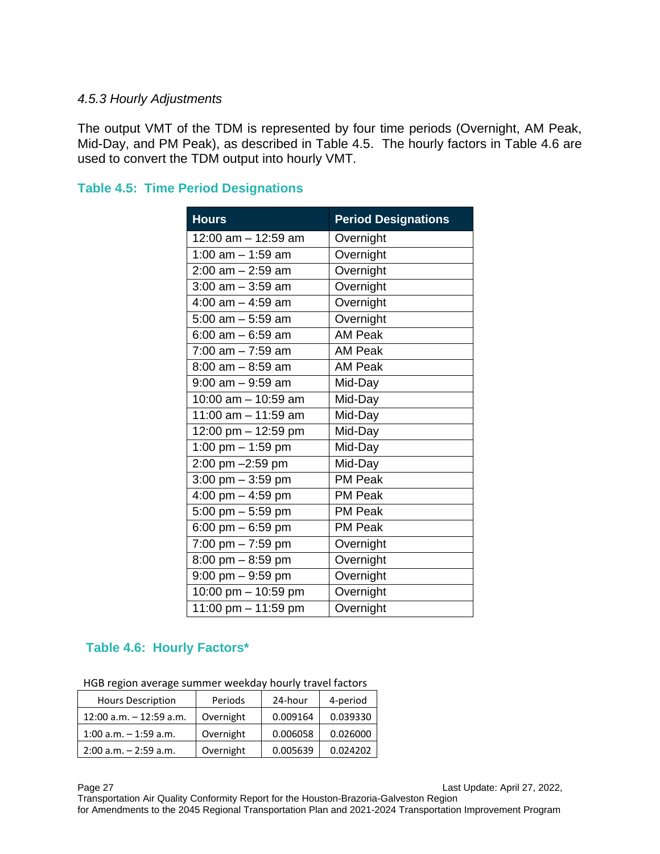#### *4.5.3 Hourly Adjustments*

The output VMT of the TDM is represented by four time periods (Overnight, AM Peak, Mid-Day, and PM Peak), as described in Table 4.5. The hourly factors in Table 4.6 are used to convert the TDM output into hourly VMT.

| <b>Hours</b>                        | <b>Period Designations</b> |
|-------------------------------------|----------------------------|
| 12:00 am - 12:59 am                 | Overnight                  |
| 1:00 $am - 1:59 am$                 | Overnight                  |
| $2:00$ am $- 2:59$ am               | Overnight                  |
| $3:00$ am $-3:59$ am                | Overnight                  |
| 4:00 $am - 4:59 am$                 | Overnight                  |
| $5:00$ am $-5:59$ am                | Overnight                  |
| $6:00$ am $-6:59$ am                | <b>AM Peak</b>             |
| $7:00$ am $-7:59$ am                | <b>AM Peak</b>             |
| $8:00$ am $-8:59$ am                | <b>AM Peak</b>             |
| $9:00$ am $-9:59$ am                | Mid-Day                    |
| 10:00 am - 10:59 am                 | Mid-Day                    |
| 11:00 am $-$ 11:59 am               | Mid-Day                    |
| 12:00 pm $-$ 12:59 pm               | Mid-Day                    |
| 1:00 pm $-$ 1:59 pm                 | Mid-Day                    |
| $2:00 \text{ pm} - 2:59 \text{ pm}$ | Mid-Day                    |
| $3:00 \text{ pm} - 3:59 \text{ pm}$ | <b>PM Peak</b>             |
| 4:00 pm $-$ 4:59 pm                 | <b>PM Peak</b>             |
| 5:00 pm $-$ 5:59 pm                 | <b>PM Peak</b>             |
| 6:00 pm $-$ 6:59 pm                 | <b>PM Peak</b>             |
| 7:00 pm - 7:59 pm                   | Overnight                  |
| $8:00$ pm $-8:59$ pm                | Overnight                  |
| $9:00$ pm $-9:59$ pm                | Overnight                  |
| 10:00 pm - 10:59 pm                 | Overnight                  |
| $11:00$ pm $- 11:59$ pm             | Overnight                  |

#### **Table 4.5: Time Period Designations**

### **Table 4.6: Hourly Factors\***

| HGB region average summer weekday hourly travel factors |  |
|---------------------------------------------------------|--|
|---------------------------------------------------------|--|

| <b>Hours Description</b>   | Periods   | 24-hour  | 4-period |
|----------------------------|-----------|----------|----------|
| $12:00$ a.m. $-12:59$ a.m. | Overnight | 0.009164 | 0.039330 |
| $1:00$ a.m. $-1:59$ a.m.   | Overnight | 0.006058 | 0.026000 |
| $2:00$ a.m. $-2:59$ a.m.   | Overnight | 0.005639 | 0.024202 |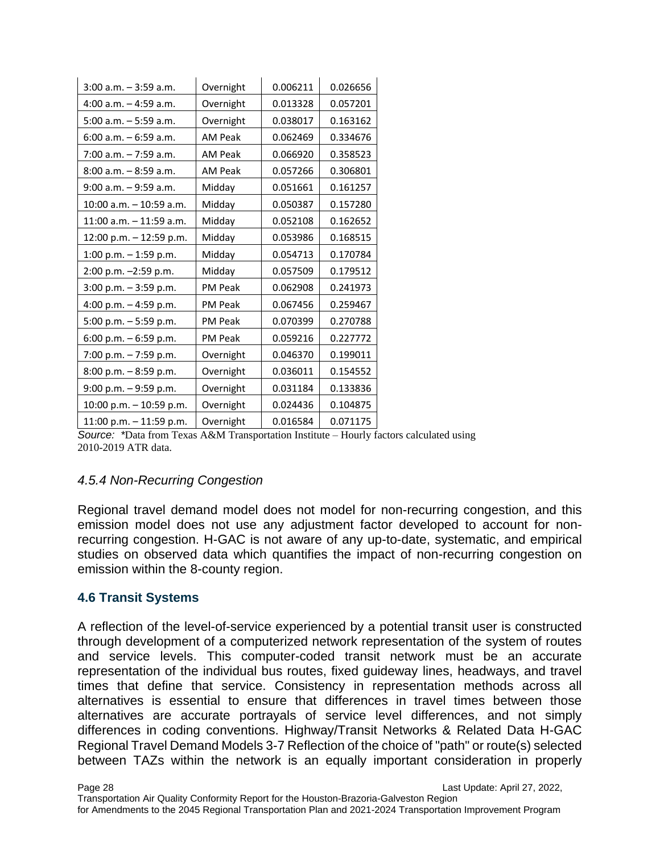| $3:00$ a.m. $-3:59$ a.m.   | Overnight      | 0.006211 | 0.026656 |
|----------------------------|----------------|----------|----------|
| $4:00$ a.m. $-4:59$ a.m.   | Overnight      | 0.013328 | 0.057201 |
| $5:00$ a.m. $-5:59$ a.m.   | Overnight      | 0.038017 | 0.163162 |
| $6:00$ a.m. $-6:59$ a.m.   | <b>AM Peak</b> | 0.062469 | 0.334676 |
| $7:00$ a.m. $-7:59$ a.m.   | <b>AM Peak</b> | 0.066920 | 0.358523 |
| $8:00$ a.m. $-8:59$ a.m.   | <b>AM Peak</b> | 0.057266 | 0.306801 |
| $9:00$ a.m. $-9:59$ a.m.   | Midday         | 0.051661 | 0.161257 |
| 10:00 a.m. - 10:59 a.m.    | Midday         | 0.050387 | 0.157280 |
| $11:00$ a.m. $-11:59$ a.m. | Midday         | 0.052108 | 0.162652 |
| 12:00 p.m. - 12:59 p.m.    | Midday         | 0.053986 | 0.168515 |
| 1:00 p.m. $-$ 1:59 p.m.    | Midday         | 0.054713 | 0.170784 |
| 2:00 p.m. -2:59 p.m.       | Midday         | 0.057509 | 0.179512 |
| $3:00$ p.m. $-3:59$ p.m.   | <b>PM Peak</b> | 0.062908 | 0.241973 |
| 4:00 p.m. $-$ 4:59 p.m.    | <b>PM Peak</b> | 0.067456 | 0.259467 |
| 5:00 p.m. - 5:59 p.m.      | <b>PM Peak</b> | 0.070399 | 0.270788 |
| 6:00 p.m. $-6:59$ p.m.     | <b>PM Peak</b> | 0.059216 | 0.227772 |
| 7:00 p.m. - 7:59 p.m.      | Overnight      | 0.046370 | 0.199011 |
| 8:00 p.m. - 8:59 p.m.      | Overnight      | 0.036011 | 0.154552 |
| 9:00 p.m. - 9:59 p.m.      | Overnight      | 0.031184 | 0.133836 |
| 10:00 p.m. - 10:59 p.m.    | Overnight      | 0.024436 | 0.104875 |
| 11:00 p.m. - 11:59 p.m.    | Overnight      | 0.016584 | 0.071175 |

*Source: \**Data from Texas A&M Transportation Institute – Hourly factors calculated using 2010-2019 ATR data.

#### *4.5.4 Non-Recurring Congestion*

Regional travel demand model does not model for non-recurring congestion, and this emission model does not use any adjustment factor developed to account for nonrecurring congestion. H-GAC is not aware of any up-to-date, systematic, and empirical studies on observed data which quantifies the impact of non-recurring congestion on emission within the 8-county region.

#### **4.6 Transit Systems**

A reflection of the level-of-service experienced by a potential transit user is constructed through development of a computerized network representation of the system of routes and service levels. This computer-coded transit network must be an accurate representation of the individual bus routes, fixed guideway lines, headways, and travel times that define that service. Consistency in representation methods across all alternatives is essential to ensure that differences in travel times between those alternatives are accurate portrayals of service level differences, and not simply differences in coding conventions. Highway/Transit Networks & Related Data H-GAC Regional Travel Demand Models 3-7 Reflection of the choice of "path" or route(s) selected between TAZs within the network is an equally important consideration in properly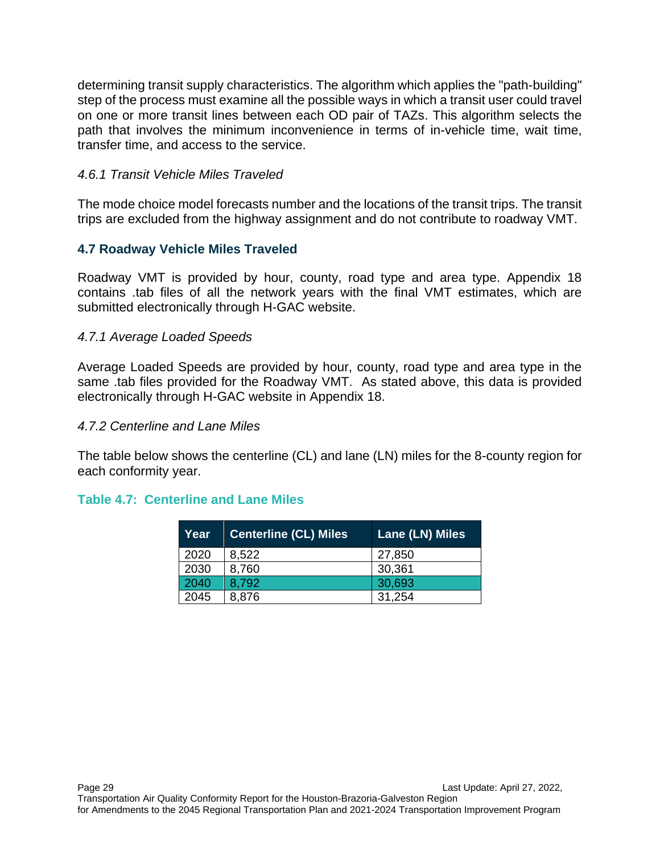determining transit supply characteristics. The algorithm which applies the "path-building" step of the process must examine all the possible ways in which a transit user could travel on one or more transit lines between each OD pair of TAZs. This algorithm selects the path that involves the minimum inconvenience in terms of in-vehicle time, wait time, transfer time, and access to the service.

#### *4.6.1 Transit Vehicle Miles Traveled*

The mode choice model forecasts number and the locations of the transit trips. The transit trips are excluded from the highway assignment and do not contribute to roadway VMT.

#### **4.7 Roadway Vehicle Miles Traveled**

Roadway VMT is provided by hour, county, road type and area type. Appendix 18 contains .tab files of all the network years with the final VMT estimates, which are submitted electronically through H-GAC website.

#### *4.7.1 Average Loaded Speeds*

Average Loaded Speeds are provided by hour, county, road type and area type in the same .tab files provided for the Roadway VMT. As stated above, this data is provided electronically through H-GAC website in Appendix 18.

#### *4.7.2 Centerline and Lane Miles*

The table below shows the centerline (CL) and lane (LN) miles for the 8-county region for each conformity year.

#### **Table 4.7: Centerline and Lane Miles**

| Year | <b>Centerline (CL) Miles</b> | Lane (LN) Miles |
|------|------------------------------|-----------------|
| 2020 | 8,522                        | 27,850          |
| 2030 | 8,760                        | 30,361          |
| 2040 | 8.792                        | 30,693          |
| 2045 | 8,876                        | 31,254          |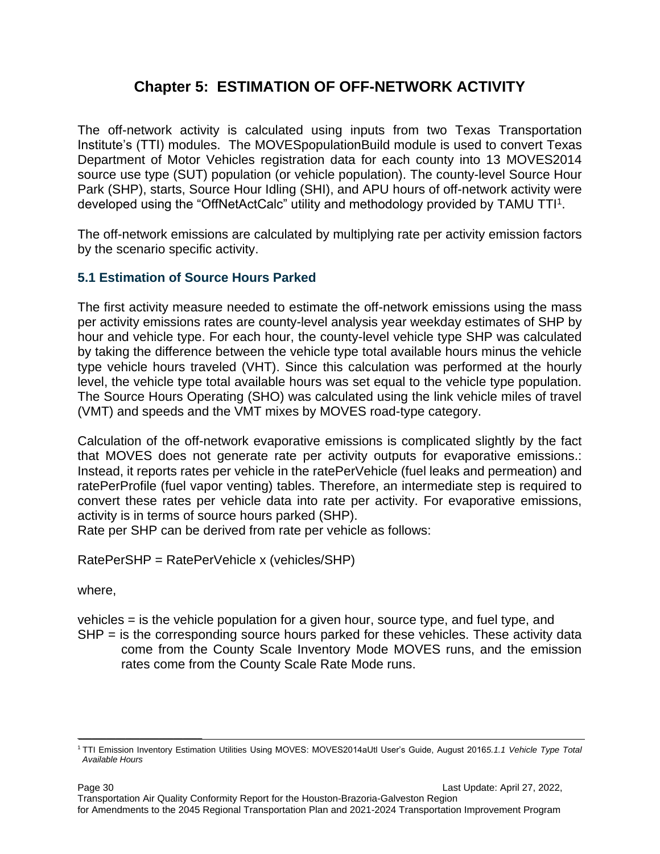# **Chapter 5: ESTIMATION OF OFF-NETWORK ACTIVITY**

The off-network activity is calculated using inputs from two Texas Transportation Institute's (TTI) modules. The MOVESpopulationBuild module is used to convert Texas Department of Motor Vehicles registration data for each county into 13 MOVES2014 source use type (SUT) population (or vehicle population). The county-level Source Hour Park (SHP), starts, Source Hour Idling (SHI), and APU hours of off-network activity were developed using the "OffNetActCalc" utility and methodology provided by TAMU TTI<sup>1</sup>.

The off-network emissions are calculated by multiplying rate per activity emission factors by the scenario specific activity.

#### **5.1 Estimation of Source Hours Parked**

The first activity measure needed to estimate the off-network emissions using the mass per activity emissions rates are county-level analysis year weekday estimates of SHP by hour and vehicle type. For each hour, the county-level vehicle type SHP was calculated by taking the difference between the vehicle type total available hours minus the vehicle type vehicle hours traveled (VHT). Since this calculation was performed at the hourly level, the vehicle type total available hours was set equal to the vehicle type population. The Source Hours Operating (SHO) was calculated using the link vehicle miles of travel (VMT) and speeds and the VMT mixes by MOVES road-type category.

Calculation of the off-network evaporative emissions is complicated slightly by the fact that MOVES does not generate rate per activity outputs for evaporative emissions.: Instead, it reports rates per vehicle in the ratePerVehicle (fuel leaks and permeation) and ratePerProfile (fuel vapor venting) tables. Therefore, an intermediate step is required to convert these rates per vehicle data into rate per activity. For evaporative emissions, activity is in terms of source hours parked (SHP).

Rate per SHP can be derived from rate per vehicle as follows:

RatePerSHP = RatePerVehicle x (vehicles/SHP)

where,

 $\_$ 

vehicles = is the vehicle population for a given hour, source type, and fuel type, and  $SHP =$  is the corresponding source hours parked for these vehicles. These activity data come from the County Scale Inventory Mode MOVES runs, and the emission

rates come from the County Scale Rate Mode runs.

<sup>1</sup>TTI Emission Inventory Estimation Utilities Using MOVES: MOVES2014aUtl User's Guide, August 2016*5.1.1 Vehicle Type Total Available Hours*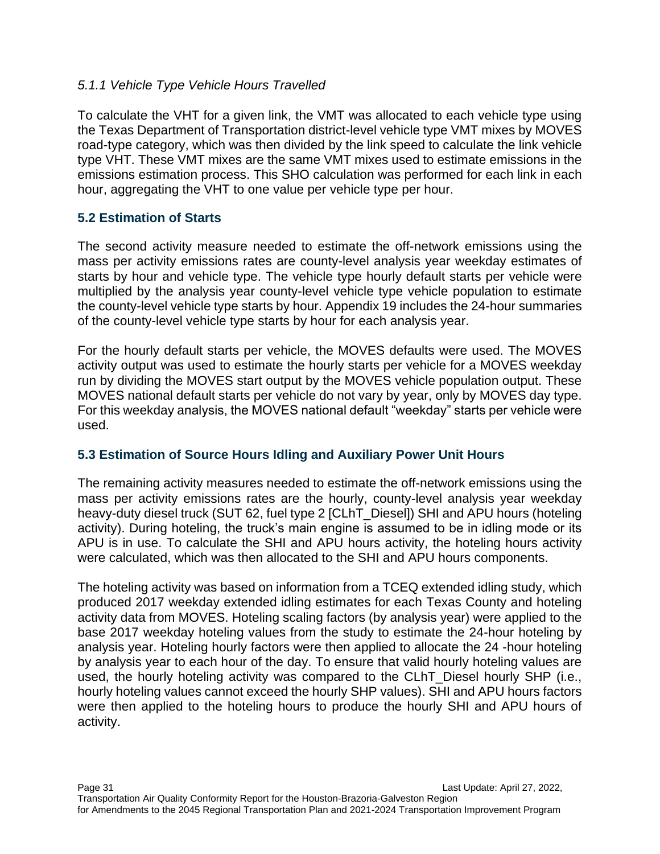#### *5.1.1 Vehicle Type Vehicle Hours Travelled*

To calculate the VHT for a given link, the VMT was allocated to each vehicle type using the Texas Department of Transportation district-level vehicle type VMT mixes by MOVES road-type category, which was then divided by the link speed to calculate the link vehicle type VHT. These VMT mixes are the same VMT mixes used to estimate emissions in the emissions estimation process. This SHO calculation was performed for each link in each hour, aggregating the VHT to one value per vehicle type per hour.

#### **5.2 Estimation of Starts**

The second activity measure needed to estimate the off-network emissions using the mass per activity emissions rates are county-level analysis year weekday estimates of starts by hour and vehicle type. The vehicle type hourly default starts per vehicle were multiplied by the analysis year county-level vehicle type vehicle population to estimate the county-level vehicle type starts by hour. Appendix 19 includes the 24-hour summaries of the county-level vehicle type starts by hour for each analysis year.

For the hourly default starts per vehicle, the MOVES defaults were used. The MOVES activity output was used to estimate the hourly starts per vehicle for a MOVES weekday run by dividing the MOVES start output by the MOVES vehicle population output. These MOVES national default starts per vehicle do not vary by year, only by MOVES day type. For this weekday analysis, the MOVES national default "weekday" starts per vehicle were used.

#### **5.3 Estimation of Source Hours Idling and Auxiliary Power Unit Hours**

The remaining activity measures needed to estimate the off-network emissions using the mass per activity emissions rates are the hourly, county-level analysis year weekday heavy-duty diesel truck (SUT 62, fuel type 2 [CLhT\_Diesel]) SHI and APU hours (hoteling activity). During hoteling, the truck's main engine is assumed to be in idling mode or its APU is in use. To calculate the SHI and APU hours activity, the hoteling hours activity were calculated, which was then allocated to the SHI and APU hours components.

The hoteling activity was based on information from a TCEQ extended idling study, which produced 2017 weekday extended idling estimates for each Texas County and hoteling activity data from MOVES. Hoteling scaling factors (by analysis year) were applied to the base 2017 weekday hoteling values from the study to estimate the 24-hour hoteling by analysis year. Hoteling hourly factors were then applied to allocate the 24 -hour hoteling by analysis year to each hour of the day. To ensure that valid hourly hoteling values are used, the hourly hoteling activity was compared to the CLhT\_Diesel hourly SHP (i.e., hourly hoteling values cannot exceed the hourly SHP values). SHI and APU hours factors were then applied to the hoteling hours to produce the hourly SHI and APU hours of activity.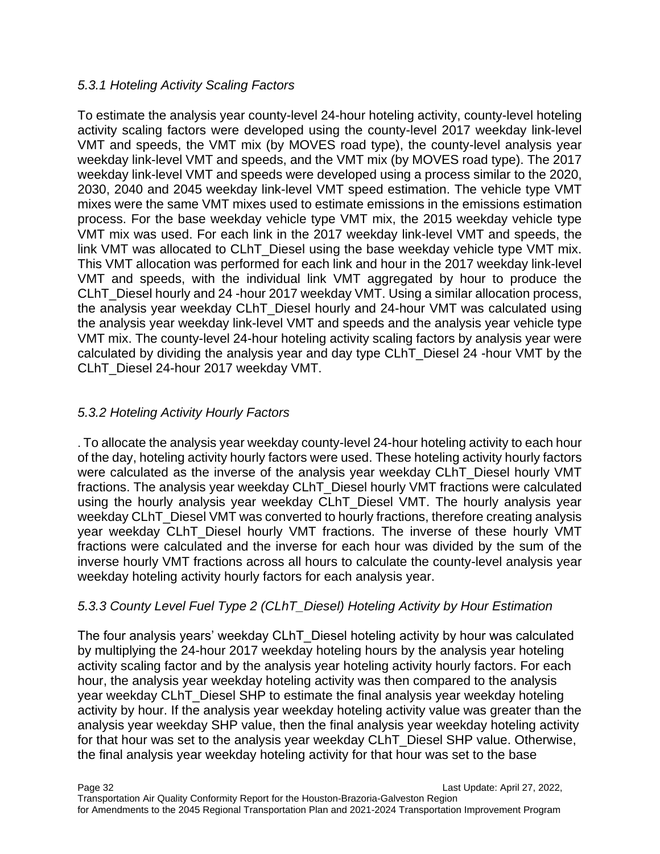#### *5.3.1 Hoteling Activity Scaling Factors*

To estimate the analysis year county-level 24-hour hoteling activity, county-level hoteling activity scaling factors were developed using the county-level 2017 weekday link-level VMT and speeds, the VMT mix (by MOVES road type), the county-level analysis year weekday link-level VMT and speeds, and the VMT mix (by MOVES road type). The 2017 weekday link-level VMT and speeds were developed using a process similar to the 2020, 2030, 2040 and 2045 weekday link-level VMT speed estimation. The vehicle type VMT mixes were the same VMT mixes used to estimate emissions in the emissions estimation process. For the base weekday vehicle type VMT mix, the 2015 weekday vehicle type VMT mix was used. For each link in the 2017 weekday link-level VMT and speeds, the link VMT was allocated to CLhT\_Diesel using the base weekday vehicle type VMT mix. This VMT allocation was performed for each link and hour in the 2017 weekday link-level VMT and speeds, with the individual link VMT aggregated by hour to produce the CLhT\_Diesel hourly and 24 -hour 2017 weekday VMT. Using a similar allocation process, the analysis year weekday CLhT\_Diesel hourly and 24-hour VMT was calculated using the analysis year weekday link-level VMT and speeds and the analysis year vehicle type VMT mix. The county-level 24-hour hoteling activity scaling factors by analysis year were calculated by dividing the analysis year and day type CLhT\_Diesel 24 -hour VMT by the CLhT\_Diesel 24-hour 2017 weekday VMT.

#### *5.3.2 Hoteling Activity Hourly Factors*

. To allocate the analysis year weekday county-level 24-hour hoteling activity to each hour of the day, hoteling activity hourly factors were used. These hoteling activity hourly factors were calculated as the inverse of the analysis year weekday CLhT\_Diesel hourly VMT fractions. The analysis year weekday CLhT\_Diesel hourly VMT fractions were calculated using the hourly analysis year weekday CLhT\_Diesel VMT. The hourly analysis year weekday CLhT\_Diesel VMT was converted to hourly fractions, therefore creating analysis year weekday CLhT\_Diesel hourly VMT fractions. The inverse of these hourly VMT fractions were calculated and the inverse for each hour was divided by the sum of the inverse hourly VMT fractions across all hours to calculate the county-level analysis year weekday hoteling activity hourly factors for each analysis year.

#### *5.3.3 County Level Fuel Type 2 (CLhT\_Diesel) Hoteling Activity by Hour Estimation*

The four analysis years' weekday CLhT\_Diesel hoteling activity by hour was calculated by multiplying the 24-hour 2017 weekday hoteling hours by the analysis year hoteling activity scaling factor and by the analysis year hoteling activity hourly factors. For each hour, the analysis year weekday hoteling activity was then compared to the analysis year weekday CLhT\_Diesel SHP to estimate the final analysis year weekday hoteling activity by hour. If the analysis year weekday hoteling activity value was greater than the analysis year weekday SHP value, then the final analysis year weekday hoteling activity for that hour was set to the analysis year weekday CLhT\_Diesel SHP value. Otherwise, the final analysis year weekday hoteling activity for that hour was set to the base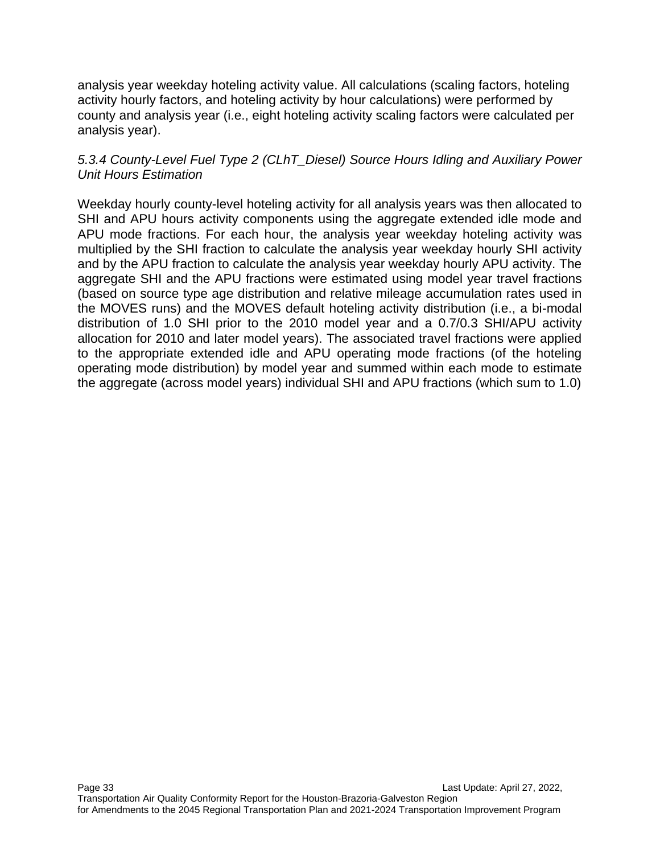analysis year weekday hoteling activity value. All calculations (scaling factors, hoteling activity hourly factors, and hoteling activity by hour calculations) were performed by county and analysis year (i.e., eight hoteling activity scaling factors were calculated per analysis year).

#### *5.3.4 County-Level Fuel Type 2 (CLhT\_Diesel) Source Hours Idling and Auxiliary Power Unit Hours Estimation*

Weekday hourly county-level hoteling activity for all analysis years was then allocated to SHI and APU hours activity components using the aggregate extended idle mode and APU mode fractions. For each hour, the analysis year weekday hoteling activity was multiplied by the SHI fraction to calculate the analysis year weekday hourly SHI activity and by the APU fraction to calculate the analysis year weekday hourly APU activity. The aggregate SHI and the APU fractions were estimated using model year travel fractions (based on source type age distribution and relative mileage accumulation rates used in the MOVES runs) and the MOVES default hoteling activity distribution (i.e., a bi-modal distribution of 1.0 SHI prior to the 2010 model year and a 0.7/0.3 SHI/APU activity allocation for 2010 and later model years). The associated travel fractions were applied to the appropriate extended idle and APU operating mode fractions (of the hoteling operating mode distribution) by model year and summed within each mode to estimate the aggregate (across model years) individual SHI and APU fractions (which sum to 1.0)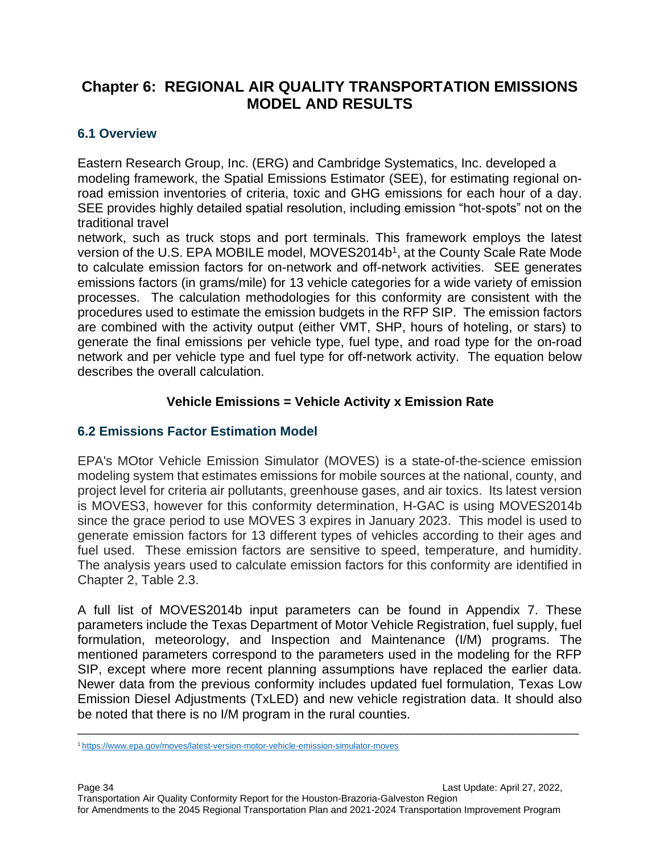# **Chapter 6: REGIONAL AIR QUALITY TRANSPORTATION EMISSIONS MODEL AND RESULTS**

#### **6.1 Overview**

Eastern Research Group, Inc. (ERG) and Cambridge Systematics, Inc. developed a modeling framework, the Spatial Emissions Estimator (SEE), for estimating regional onroad emission inventories of criteria, toxic and GHG emissions for each hour of a day. SEE provides highly detailed spatial resolution, including emission "hot-spots" not on the traditional travel

network, such as truck stops and port terminals. This framework employs the latest version of the U.S. EPA MOBILE model, MOVES2014b<sup>1</sup>, at the County Scale Rate Mode to calculate emission factors for on-network and off-network activities. SEE generates emissions factors (in grams/mile) for 13 vehicle categories for a wide variety of emission processes. The calculation methodologies for this conformity are consistent with the procedures used to estimate the emission budgets in the RFP SIP. The emission factors are combined with the activity output (either VMT, SHP, hours of hoteling, or stars) to generate the final emissions per vehicle type, fuel type, and road type for the on-road network and per vehicle type and fuel type for off-network activity. The equation below describes the overall calculation.

#### **Vehicle Emissions = Vehicle Activity x Emission Rate**

#### **6.2 Emissions Factor Estimation Model**

EPA's MOtor Vehicle Emission Simulator (MOVES) is a state-of-the-science emission modeling system that estimates emissions for mobile sources at the national, county, and project level for criteria air pollutants, greenhouse gases, and air toxics. Its latest version is MOVES3, however for this conformity determination, H-GAC is using MOVES2014b since the grace period to use MOVES 3 expires in January 2023. This model is used to generate emission factors for 13 different types of vehicles according to their ages and fuel used. These emission factors are sensitive to speed, temperature, and humidity. The analysis years used to calculate emission factors for this conformity are identified in Chapter 2, Table 2.3.

A full list of MOVES2014b input parameters can be found in Appendix 7. These parameters include the Texas Department of Motor Vehicle Registration, fuel supply, fuel formulation, meteorology, and Inspection and Maintenance (I/M) programs. The mentioned parameters correspond to the parameters used in the modeling for the RFP SIP, except where more recent planning assumptions have replaced the earlier data. Newer data from the previous conformity includes updated fuel formulation, Texas Low Emission Diesel Adjustments (TxLED) and new vehicle registration data. It should also be noted that there is no I/M program in the rural counties.

\_\_\_\_\_\_\_\_\_\_\_\_\_\_\_\_\_\_\_\_\_\_\_\_\_\_\_\_\_\_\_\_\_\_\_\_\_\_\_\_\_\_\_\_\_\_\_\_\_\_\_\_\_\_\_\_\_\_\_\_\_\_\_\_\_\_\_\_\_\_\_\_\_\_\_\_

<sup>1</sup> <https://www.epa.gov/moves/latest-version-motor-vehicle-emission-simulator-moves>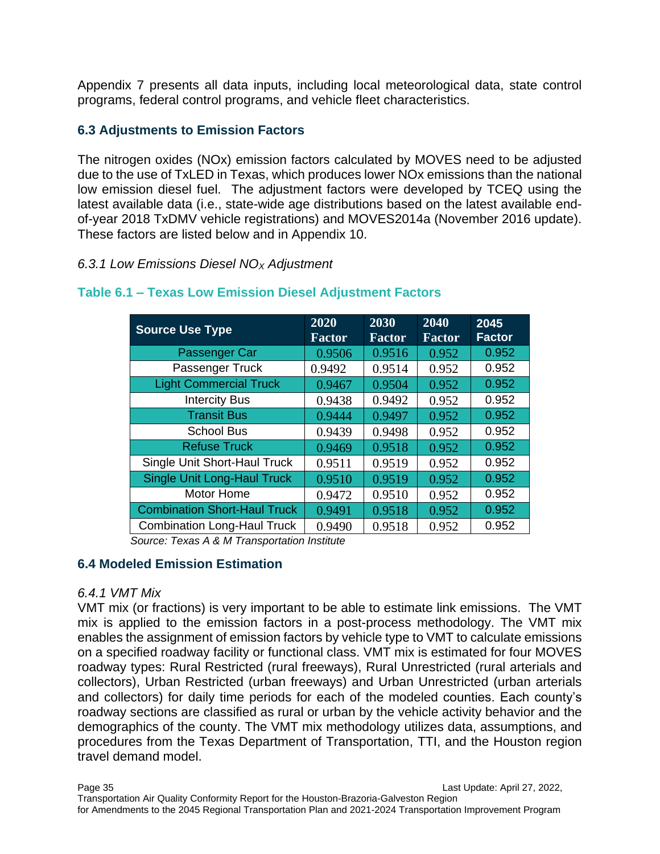Appendix 7 presents all data inputs, including local meteorological data, state control programs, federal control programs, and vehicle fleet characteristics.

#### **6.3 Adjustments to Emission Factors**

The nitrogen oxides (NOx) emission factors calculated by MOVES need to be adjusted due to the use of TxLED in Texas, which produces lower NOx emissions than the national low emission diesel fuel. The adjustment factors were developed by TCEQ using the latest available data (i.e., state-wide age distributions based on the latest available endof-year 2018 TxDMV vehicle registrations) and MOVES2014a (November 2016 update). These factors are listed below and in Appendix 10.

#### *6.3.1 Low Emissions Diesel NO<sup>X</sup> Adjustment*

| <b>Source Use Type</b>              | 2020<br><b>Factor</b> | 2030<br><b>Factor</b> | 2040<br><b>Factor</b> | 2045<br><b>Factor</b> |
|-------------------------------------|-----------------------|-----------------------|-----------------------|-----------------------|
| Passenger Car                       | 0.9506                | 0.9516                | 0.952                 | 0.952                 |
| Passenger Truck                     | 0.9492                | 0.9514                | 0.952                 | 0.952                 |
| <b>Light Commercial Truck</b>       | 0.9467                | 0.9504                | 0.952                 | 0.952                 |
| <b>Intercity Bus</b>                | 0.9438                | 0.9492                | 0.952                 | 0.952                 |
| <b>Transit Bus</b>                  | 0.9444                | 0.9497                | 0.952                 | 0.952                 |
| <b>School Bus</b>                   | 0.9439                | 0.9498                | 0.952                 | 0.952                 |
| <b>Refuse Truck</b>                 | 0.9469                | 0.9518                | 0.952                 | 0.952                 |
| Single Unit Short-Haul Truck        | 0.9511                | 0.9519                | 0.952                 | 0.952                 |
| <b>Single Unit Long-Haul Truck</b>  | 0.9510                | 0.9519                | 0.952                 | 0.952                 |
| Motor Home                          | 0.9472                | 0.9510                | 0.952                 | 0.952                 |
| <b>Combination Short-Haul Truck</b> | 0.9491                | 0.9518                | 0.952                 | 0.952                 |
| <b>Combination Long-Haul Truck</b>  | 0.9490                | 0.9518                | 0.952                 | 0.952                 |

#### **Table 6.1 – Texas Low Emission Diesel Adjustment Factors**

*Source: Texas A & M Transportation Institute*

#### **6.4 Modeled Emission Estimation**

#### *6.4.1 VMT Mix*

VMT mix (or fractions) is very important to be able to estimate link emissions. The VMT mix is applied to the emission factors in a post-process methodology. The VMT mix enables the assignment of emission factors by vehicle type to VMT to calculate emissions on a specified roadway facility or functional class. VMT mix is estimated for four MOVES roadway types: Rural Restricted (rural freeways), Rural Unrestricted (rural arterials and collectors), Urban Restricted (urban freeways) and Urban Unrestricted (urban arterials and collectors) for daily time periods for each of the modeled counties. Each county's roadway sections are classified as rural or urban by the vehicle activity behavior and the demographics of the county. The VMT mix methodology utilizes data, assumptions, and procedures from the Texas Department of Transportation, TTI, and the Houston region travel demand model.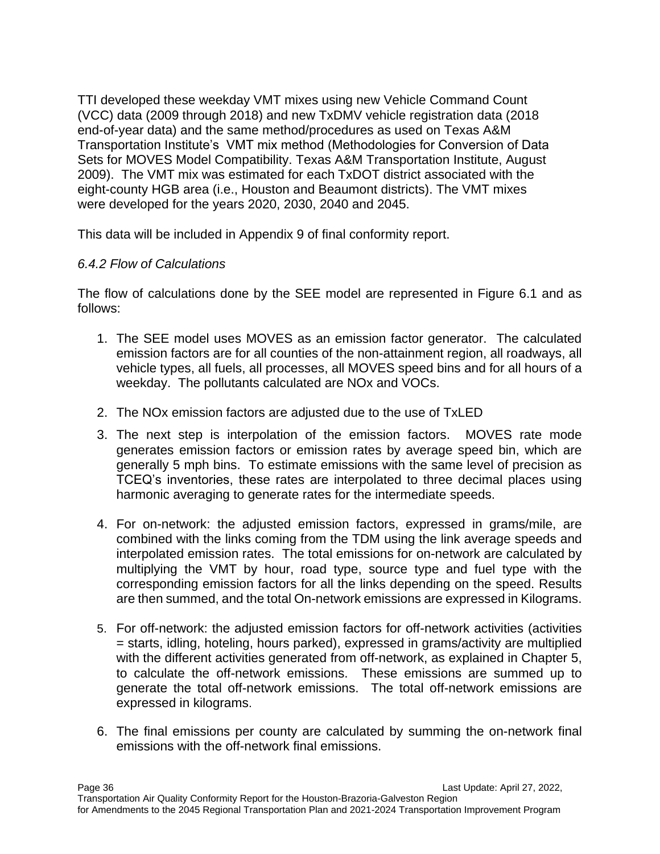TTI developed these weekday VMT mixes using new Vehicle Command Count (VCC) data (2009 through 2018) and new TxDMV vehicle registration data (2018 end-of-year data) and the same method/procedures as used on Texas A&M Transportation Institute's VMT mix method (Methodologies for Conversion of Data Sets for MOVES Model Compatibility. Texas A&M Transportation Institute, August 2009). The VMT mix was estimated for each TxDOT district associated with the eight-county HGB area (i.e., Houston and Beaumont districts). The VMT mixes were developed for the years 2020, 2030, 2040 and 2045.

This data will be included in Appendix 9 of final conformity report.

#### *6.4.2 Flow of Calculations*

The flow of calculations done by the SEE model are represented in Figure 6.1 and as follows:

- 1. The SEE model uses MOVES as an emission factor generator. The calculated emission factors are for all counties of the non-attainment region, all roadways, all vehicle types, all fuels, all processes, all MOVES speed bins and for all hours of a weekday. The pollutants calculated are NOx and VOCs.
- 2. The NOx emission factors are adjusted due to the use of TxLED
- 3. The next step is interpolation of the emission factors. MOVES rate mode generates emission factors or emission rates by average speed bin, which are generally 5 mph bins. To estimate emissions with the same level of precision as TCEQ's inventories, these rates are interpolated to three decimal places using harmonic averaging to generate rates for the intermediate speeds.
- 4. For on-network: the adjusted emission factors, expressed in grams/mile, are combined with the links coming from the TDM using the link average speeds and interpolated emission rates. The total emissions for on-network are calculated by multiplying the VMT by hour, road type, source type and fuel type with the corresponding emission factors for all the links depending on the speed. Results are then summed, and the total On-network emissions are expressed in Kilograms.
- 5. For off-network: the adjusted emission factors for off-network activities (activities = starts, idling, hoteling, hours parked), expressed in grams/activity are multiplied with the different activities generated from off-network, as explained in Chapter 5, to calculate the off-network emissions. These emissions are summed up to generate the total off-network emissions. The total off-network emissions are expressed in kilograms.
- 6. The final emissions per county are calculated by summing the on-network final emissions with the off-network final emissions.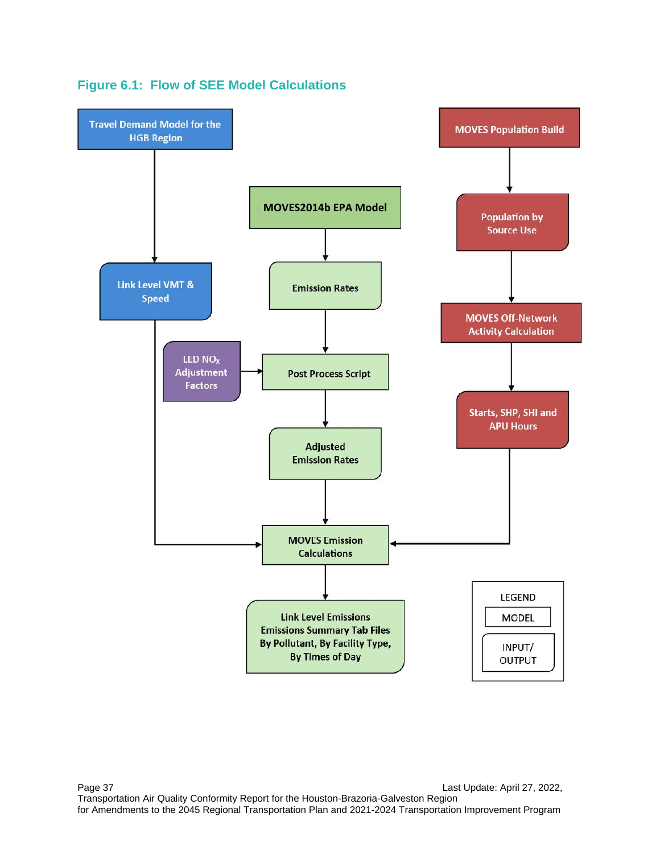

**Figure 6.1: Flow of SEE Model Calculations**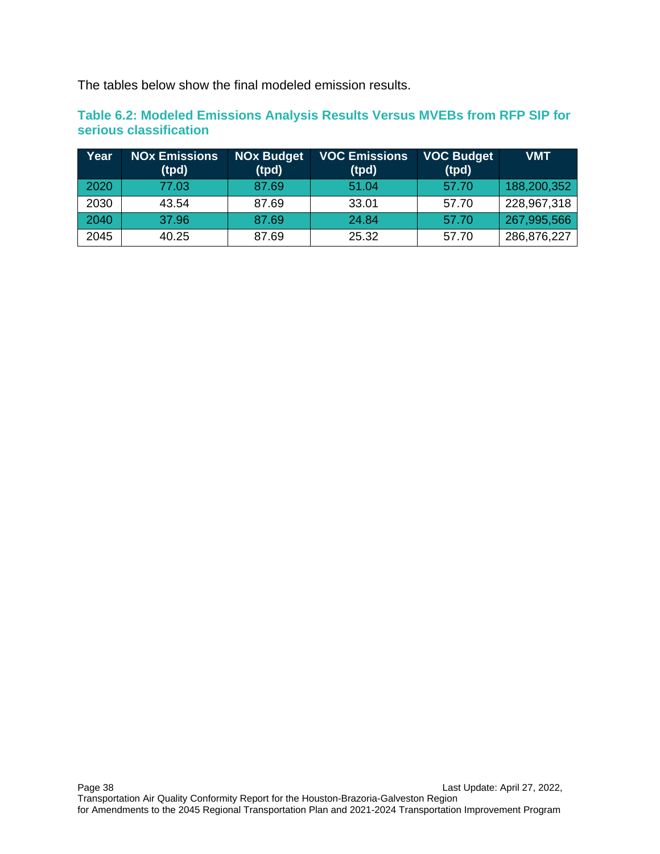The tables below show the final modeled emission results.

**Table 6.2: Modeled Emissions Analysis Results Versus MVEBs from RFP SIP for serious classification**

| Year | <b>NOx Emissions</b><br>(tpd) | <b>NOx Budget</b><br>(tpd) | <b>VOC Emissions</b><br>(tpd) | <b>VOC Budget</b><br>(tpd) | <b>VMT</b>  |
|------|-------------------------------|----------------------------|-------------------------------|----------------------------|-------------|
| 2020 | 77.03                         | 87.69                      | 51.04                         | 57.70                      | 188,200,352 |
| 2030 | 43.54                         | 87.69                      | 33.01                         | 57.70                      | 228,967,318 |
| 2040 | 37.96                         | 87.69                      | 24.84                         | 57.70                      | 267,995,566 |
| 2045 | 40.25                         | 87.69                      | 25.32                         | 57.70                      | 286,876,227 |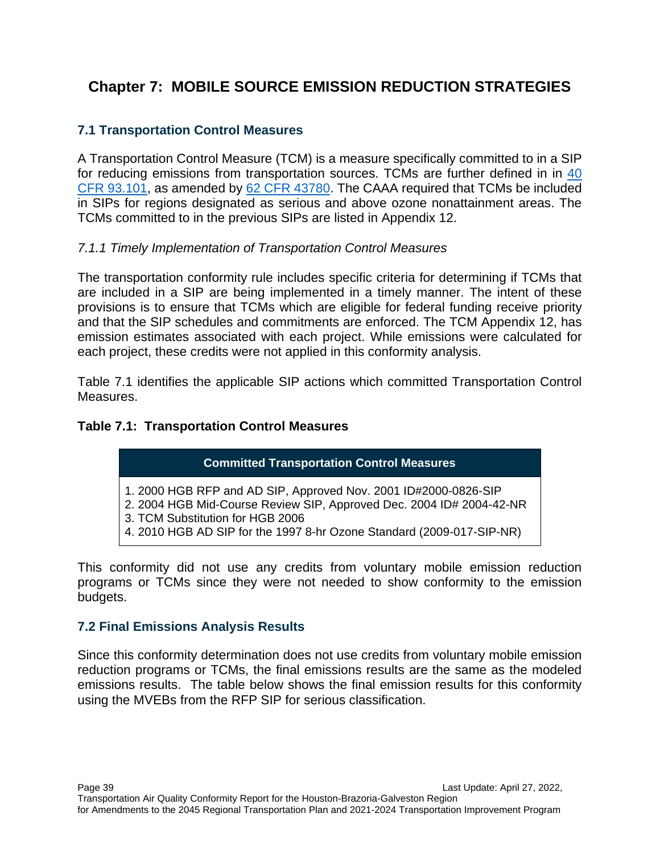# **Chapter 7: MOBILE SOURCE EMISSION REDUCTION STRATEGIES**

### **7.1 Transportation Control Measures**

A Transportation Control Measure (TCM) is a measure specifically committed to in a SIP for reducing emissions from transportation sources. TCMs are further defined in in [40](https://www.govinfo.gov/app/search/%7B%22query%22%3A%2240%20CFR%2093.101%22%2C%22offset%22%3A0%7D)  [CFR 93.101,](https://www.govinfo.gov/app/search/%7B%22query%22%3A%2240%20CFR%2093.101%22%2C%22offset%22%3A0%7D) as amended by 62 [CFR 43780.](https://www.govinfo.gov/app/search/%7B%22query%22%3A%2262%20CFR%2043780%22%2C%22offset%22%3A0%7D) The CAAA required that TCMs be included in SIPs for regions designated as serious and above ozone nonattainment areas. The TCMs committed to in the previous SIPs are listed in Appendix 12.

#### *7.1.1 Timely Implementation of Transportation Control Measures*

The transportation conformity rule includes specific criteria for determining if TCMs that are included in a SIP are being implemented in a timely manner. The intent of these provisions is to ensure that TCMs which are eligible for federal funding receive priority and that the SIP schedules and commitments are enforced. The TCM Appendix 12, has emission estimates associated with each project. While emissions were calculated for each project, these credits were not applied in this conformity analysis.

Table 7.1 identifies the applicable SIP actions which committed Transportation Control Measures.

#### **Table 7.1: Transportation Control Measures**

#### **Committed Transportation Control Measures**

- 1. 2000 HGB RFP and AD SIP, Approved Nov. 2001 ID#2000-0826-SIP
- 2. 2004 HGB Mid-Course Review SIP, Approved Dec. 2004 ID# 2004-42-NR
- 3. TCM Substitution for HGB 2006
- 4. 2010 HGB AD SIP for the 1997 8-hr Ozone Standard (2009-017-SIP-NR)

This conformity did not use any credits from voluntary mobile emission reduction programs or TCMs since they were not needed to show conformity to the emission budgets.

#### **7.2 Final Emissions Analysis Results**

Since this conformity determination does not use credits from voluntary mobile emission reduction programs or TCMs, the final emissions results are the same as the modeled emissions results. The table below shows the final emission results for this conformity using the MVEBs from the RFP SIP for serious classification.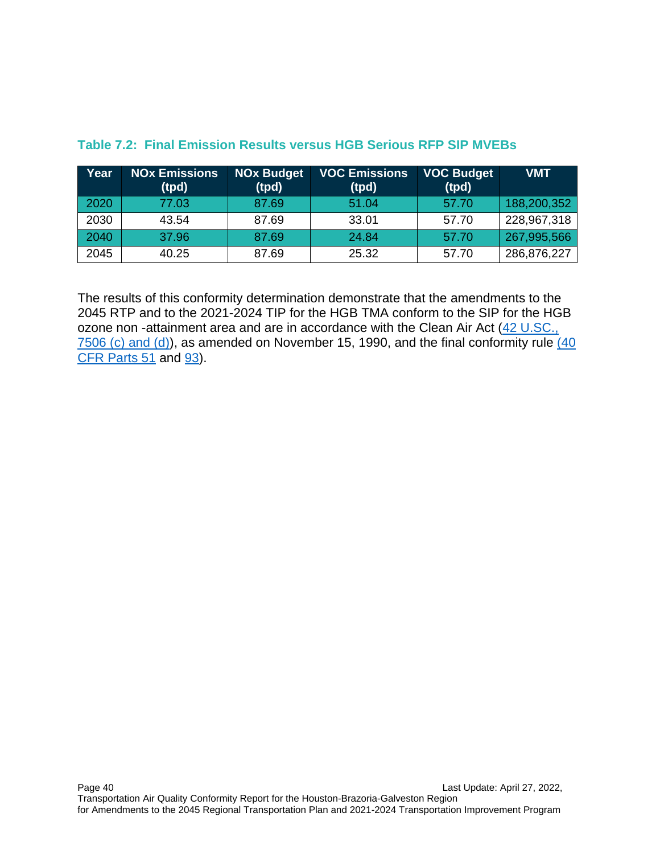| Year | <b>NOx Emissions</b><br>(tpd) | <b>NOx Budget</b><br>(tpd) | <b>VOC Emissions</b><br>(tpd) | <b>VOC Budget</b><br>(tpd) | <b>VMT</b>  |
|------|-------------------------------|----------------------------|-------------------------------|----------------------------|-------------|
| 2020 | 77.03                         | 87.69                      | 51.04                         | 57.70                      | 188,200,352 |
| 2030 | 43.54                         | 87.69                      | 33.01                         | 57.70                      | 228,967,318 |
| 2040 | 37.96                         | 87.69                      | 24.84                         | 57.70                      | 267,995,566 |
| 2045 | 40.25                         | 87.69                      | 25.32                         | 57.70                      | 286,876,227 |

### **Table 7.2: Final Emission Results versus HGB Serious RFP SIP MVEBs**

The results of this conformity determination demonstrate that the amendments to the 2045 RTP and to the 2021-2024 TIP for the HGB TMA conform to the SIP for the HGB ozone non -attainment area and are in accordance with the Clean Air Act [\(42 U.SC.,](https://codes.findlaw.com/us/title-42-the-public-health-and-welfare/42-usc-sect-7506.html)   $7506$  (c) and (d)), as amended on November 15, 1990, and the final conformity rule  $(40)$ [CFR Parts 51](https://www.govinfo.gov/app/search/%7B%22query%22%3A%22(40%20CFR%20Parts%2051%20%22%2C%22offset%22%3A0%7D) and [93\)](https://www.ecfr.gov/current/title-40/chapter-I/subchapter-C/part-93).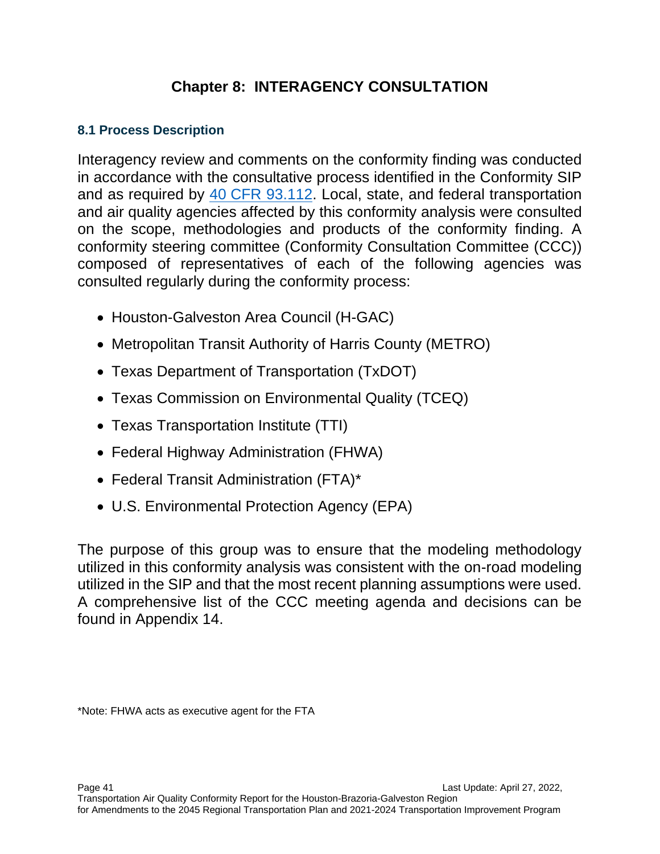# **Chapter 8: INTERAGENCY CONSULTATION**

## **8.1 Process Description**

Interagency review and comments on the conformity finding was conducted in accordance with the consultative process identified in the Conformity SIP and as required by 40 CFR [93.112.](https://www.govinfo.gov/app/search/%7B%22query%22%3A%2240%20CFR%2093.112%22%2C%22offset%22%3A0%7D) Local, state, and federal transportation and air quality agencies affected by this conformity analysis were consulted on the scope, methodologies and products of the conformity finding. A conformity steering committee (Conformity Consultation Committee (CCC)) composed of representatives of each of the following agencies was consulted regularly during the conformity process:

- Houston-Galveston Area Council (H-GAC)
- Metropolitan Transit Authority of Harris County (METRO)
- Texas Department of Transportation (TxDOT)
- Texas Commission on Environmental Quality (TCEQ)
- Texas Transportation Institute (TTI)
- Federal Highway Administration (FHWA)
- Federal Transit Administration (FTA)\*
- U.S. Environmental Protection Agency (EPA)

The purpose of this group was to ensure that the modeling methodology utilized in this conformity analysis was consistent with the on-road modeling utilized in the SIP and that the most recent planning assumptions were used. A comprehensive list of the CCC meeting agenda and decisions can be found in Appendix 14.

\*Note: FHWA acts as executive agent for the FTA